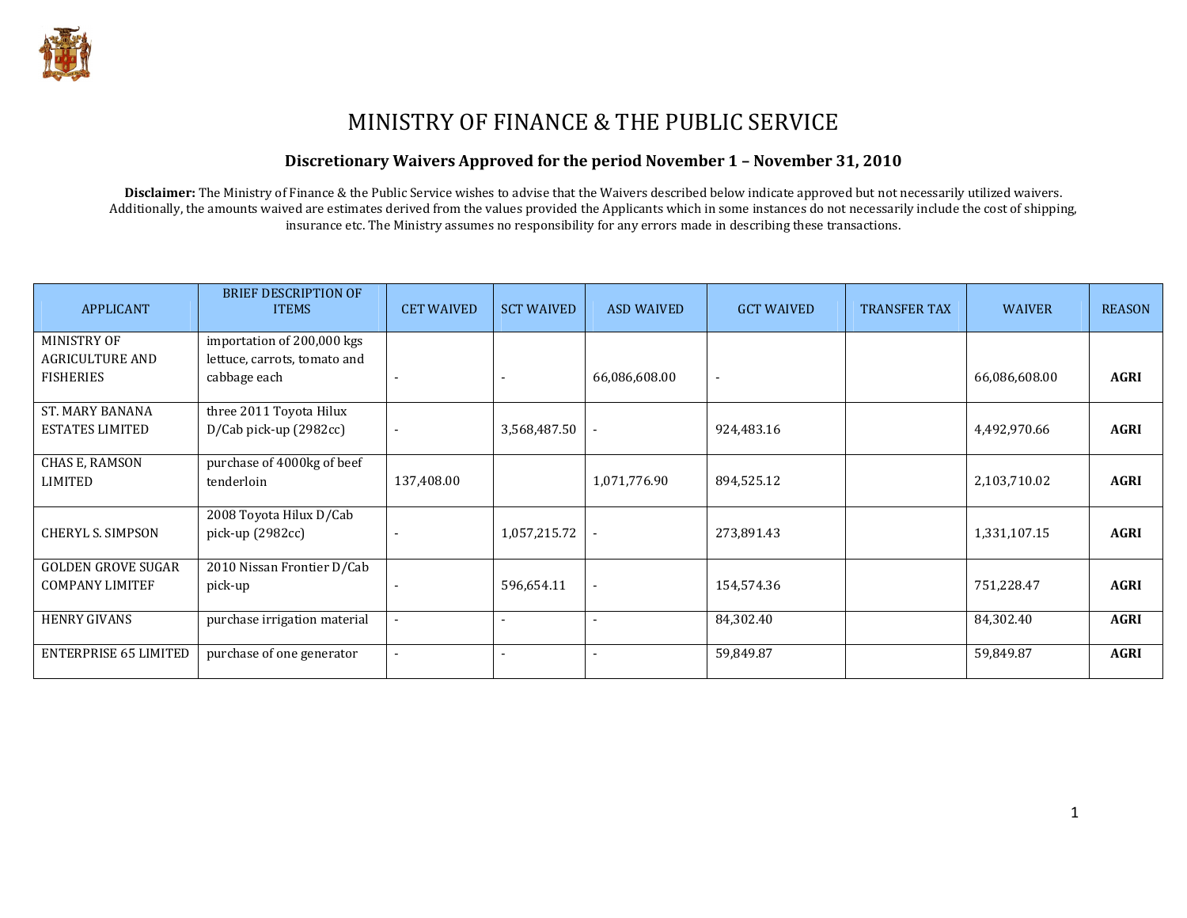

# MINISTRY OF FINANCE & THE PUBLIC SERVICE

#### Discretionary Waivers Approved for the period November 1 – November 31, 2010

Disclaimer: The Ministry of Finance & the Public Service wishes to advise that the Waivers described below indicate approved but not necessarily utilized waivers. Additionally, the amounts waived are estimates derived from the values provided the Applicants which in some instances do not necessarily include the cost of shipping, insurance etc. The Ministry assumes no responsibility for any errors made in describing these transactions.

| <b>APPLICANT</b>             | <b>BRIEF DESCRIPTION OF</b><br><b>ITEMS</b> | <b>CET WAIVED</b>        | <b>SCT WAIVED</b>        | <b>ASD WAIVED</b>        | <b>GCT WAIVED</b> | <b>TRANSFER TAX</b> | <b>WAIVER</b> | <b>REASON</b> |
|------------------------------|---------------------------------------------|--------------------------|--------------------------|--------------------------|-------------------|---------------------|---------------|---------------|
| MINISTRY OF                  | importation of 200,000 kgs                  |                          |                          |                          |                   |                     |               |               |
| <b>AGRICULTURE AND</b>       | lettuce, carrots, tomato and                |                          |                          |                          |                   |                     |               |               |
| <b>FISHERIES</b>             | cabbage each                                |                          |                          | 66,086,608.00            |                   |                     | 66,086,608.00 | <b>AGRI</b>   |
| <b>ST. MARY BANANA</b>       | three 2011 Toyota Hilux                     |                          |                          |                          |                   |                     |               |               |
| <b>ESTATES LIMITED</b>       | D/Cab pick-up (2982cc)                      |                          | 3,568,487.50             |                          | 924,483.16        |                     | 4,492,970.66  | <b>AGRI</b>   |
| CHAS E, RAMSON               | purchase of 4000kg of beef                  |                          |                          |                          |                   |                     |               |               |
| <b>LIMITED</b>               | tenderloin                                  | 137,408.00               |                          | 1,071,776.90             | 894,525.12        |                     | 2,103,710.02  | <b>AGRI</b>   |
|                              | 2008 Toyota Hilux D/Cab                     |                          |                          |                          |                   |                     |               |               |
| <b>CHERYL S. SIMPSON</b>     | pick-up (2982cc)                            |                          | 1,057,215.72             |                          | 273,891.43        |                     | 1,331,107.15  | <b>AGRI</b>   |
| <b>GOLDEN GROVE SUGAR</b>    | 2010 Nissan Frontier D/Cab                  |                          |                          |                          |                   |                     |               |               |
| <b>COMPANY LIMITEF</b>       | pick-up                                     |                          | 596,654.11               | $\overline{\phantom{a}}$ | 154,574.36        |                     | 751,228.47    | <b>AGRI</b>   |
| <b>HENRY GIVANS</b>          | purchase irrigation material                |                          |                          |                          | 84,302.40         |                     | 84,302.40     | <b>AGRI</b>   |
| <b>ENTERPRISE 65 LIMITED</b> | purchase of one generator                   | $\overline{\phantom{a}}$ | $\overline{\phantom{0}}$ | $\blacksquare$           | 59,849.87         |                     | 59,849.87     | <b>AGRI</b>   |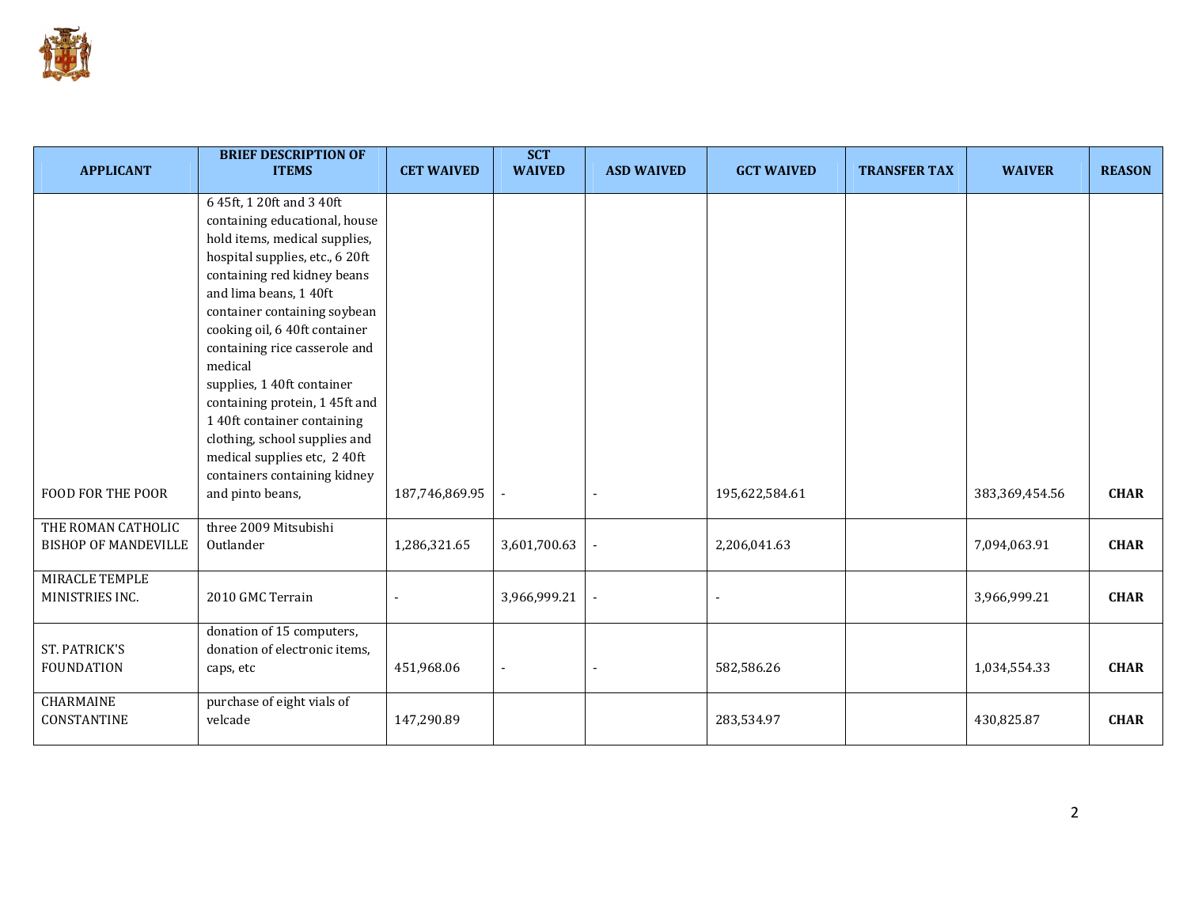

| <b>APPLICANT</b>                                  | <b>BRIEF DESCRIPTION OF</b><br><b>ITEMS</b>                                                                                                                                                                                                                                                                                                                                                                                        | <b>CET WAIVED</b> | <b>SCT</b><br><b>WAIVED</b> | <b>ASD WAIVED</b> | <b>GCT WAIVED</b> | <b>TRANSFER TAX</b> | <b>WAIVER</b>  | <b>REASON</b> |
|---------------------------------------------------|------------------------------------------------------------------------------------------------------------------------------------------------------------------------------------------------------------------------------------------------------------------------------------------------------------------------------------------------------------------------------------------------------------------------------------|-------------------|-----------------------------|-------------------|-------------------|---------------------|----------------|---------------|
|                                                   | 6 45ft, 1 20ft and 3 40ft<br>containing educational, house<br>hold items, medical supplies,<br>hospital supplies, etc., 6 20ft<br>containing red kidney beans<br>and lima beans, 140ft<br>container containing soybean<br>cooking oil, 6 40ft container<br>containing rice casserole and<br>medical<br>supplies, 1 40ft container<br>containing protein, 145ft and<br>1 40ft container containing<br>clothing, school supplies and |                   |                             |                   |                   |                     |                |               |
| <b>FOOD FOR THE POOR</b>                          | medical supplies etc, 2 40ft<br>containers containing kidney<br>and pinto beans,                                                                                                                                                                                                                                                                                                                                                   | 187,746,869.95    | $\overline{\phantom{a}}$    |                   | 195,622,584.61    |                     | 383,369,454.56 | <b>CHAR</b>   |
| THE ROMAN CATHOLIC<br><b>BISHOP OF MANDEVILLE</b> | three 2009 Mitsubishi<br>Outlander                                                                                                                                                                                                                                                                                                                                                                                                 | 1,286,321.65      | 3,601,700.63                |                   | 2,206,041.63      |                     | 7,094,063.91   | <b>CHAR</b>   |
| MIRACLE TEMPLE<br>MINISTRIES INC.                 | 2010 GMC Terrain                                                                                                                                                                                                                                                                                                                                                                                                                   |                   | 3,966,999.21                |                   |                   |                     | 3,966,999.21   | <b>CHAR</b>   |
| ST. PATRICK'S<br><b>FOUNDATION</b>                | donation of 15 computers,<br>donation of electronic items,<br>caps, etc                                                                                                                                                                                                                                                                                                                                                            | 451,968.06        |                             |                   | 582,586.26        |                     | 1,034,554.33   | <b>CHAR</b>   |
| CHARMAINE<br>CONSTANTINE                          | purchase of eight vials of<br>velcade                                                                                                                                                                                                                                                                                                                                                                                              | 147,290.89        |                             |                   | 283,534.97        |                     | 430,825.87     | <b>CHAR</b>   |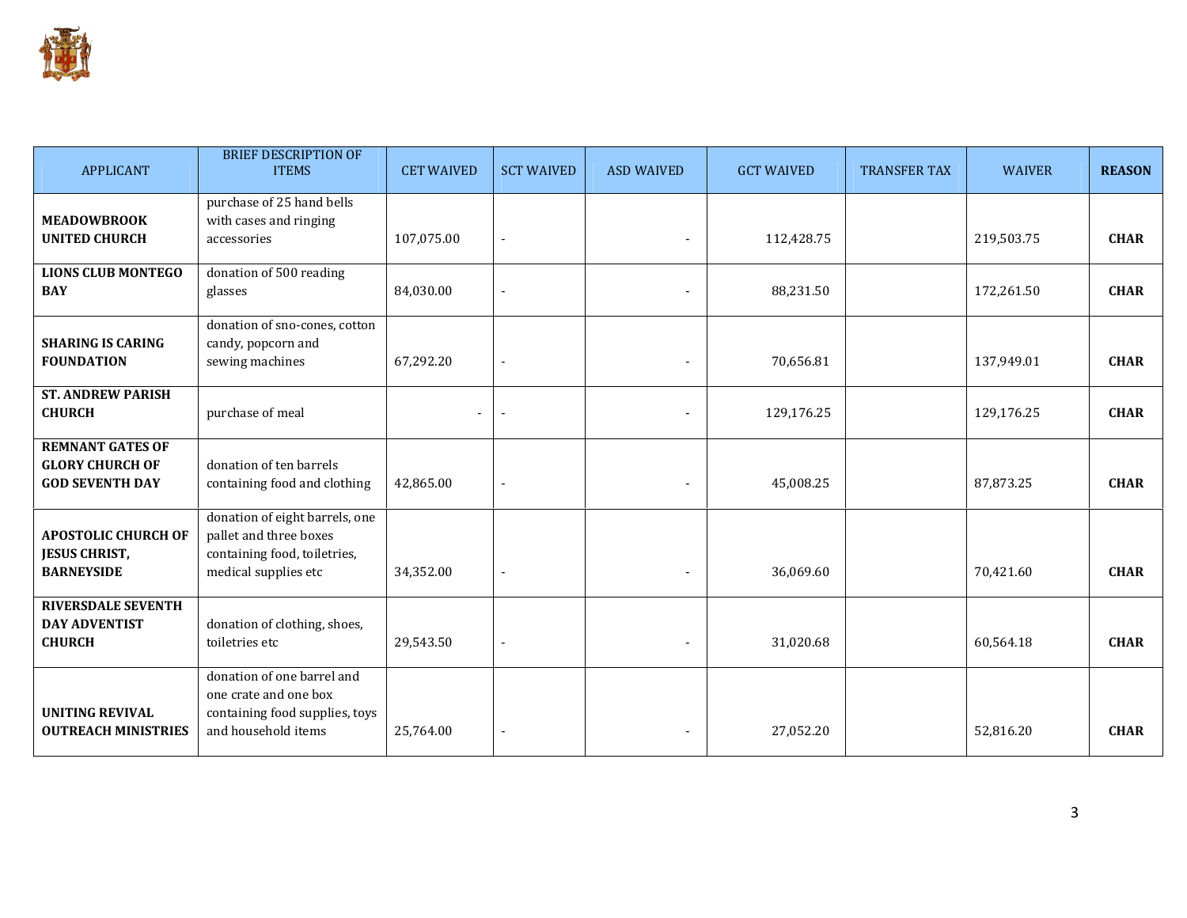

| <b>APPLICANT</b>                                                            | <b>BRIEF DESCRIPTION OF</b><br><b>ITEMS</b>                                                                      | <b>CET WAIVED</b> | <b>SCT WAIVED</b>        | <b>ASD WAIVED</b> | <b>GCT WAIVED</b> | <b>TRANSFER TAX</b> | <b>WAIVER</b> | <b>REASON</b> |
|-----------------------------------------------------------------------------|------------------------------------------------------------------------------------------------------------------|-------------------|--------------------------|-------------------|-------------------|---------------------|---------------|---------------|
| <b>MEADOWBROOK</b><br><b>UNITED CHURCH</b>                                  | purchase of 25 hand bells<br>with cases and ringing<br>accessories                                               | 107,075.00        |                          |                   | 112,428.75        |                     | 219,503.75    | <b>CHAR</b>   |
| <b>LIONS CLUB MONTEGO</b><br><b>BAY</b>                                     | donation of 500 reading<br>glasses                                                                               | 84,030.00         |                          |                   | 88,231.50         |                     | 172,261.50    | <b>CHAR</b>   |
| <b>SHARING IS CARING</b><br><b>FOUNDATION</b>                               | donation of sno-cones, cotton<br>candy, popcorn and<br>sewing machines                                           | 67,292.20         | ÷                        |                   | 70,656.81         |                     | 137,949.01    | <b>CHAR</b>   |
| <b>ST. ANDREW PARISH</b><br><b>CHURCH</b>                                   | purchase of meal                                                                                                 |                   |                          |                   | 129,176.25        |                     | 129,176.25    | <b>CHAR</b>   |
| <b>REMNANT GATES OF</b><br><b>GLORY CHURCH OF</b><br><b>GOD SEVENTH DAY</b> | donation of ten barrels<br>containing food and clothing                                                          | 42,865.00         |                          |                   | 45,008.25         |                     | 87,873.25     | <b>CHAR</b>   |
| <b>APOSTOLIC CHURCH OF</b><br><b>JESUS CHRIST,</b><br><b>BARNEYSIDE</b>     | donation of eight barrels, one<br>pallet and three boxes<br>containing food, toiletries,<br>medical supplies etc | 34,352.00         |                          |                   | 36,069.60         |                     | 70,421.60     | <b>CHAR</b>   |
| <b>RIVERSDALE SEVENTH</b><br><b>DAY ADVENTIST</b><br><b>CHURCH</b>          | donation of clothing, shoes,<br>toiletries etc                                                                   | 29,543.50         | $\overline{\phantom{a}}$ |                   | 31,020.68         |                     | 60,564.18     | <b>CHAR</b>   |
| <b>UNITING REVIVAL</b><br><b>OUTREACH MINISTRIES</b>                        | donation of one barrel and<br>one crate and one box<br>containing food supplies, toys<br>and household items     | 25,764.00         | ÷                        |                   | 27,052.20         |                     | 52,816.20     | <b>CHAR</b>   |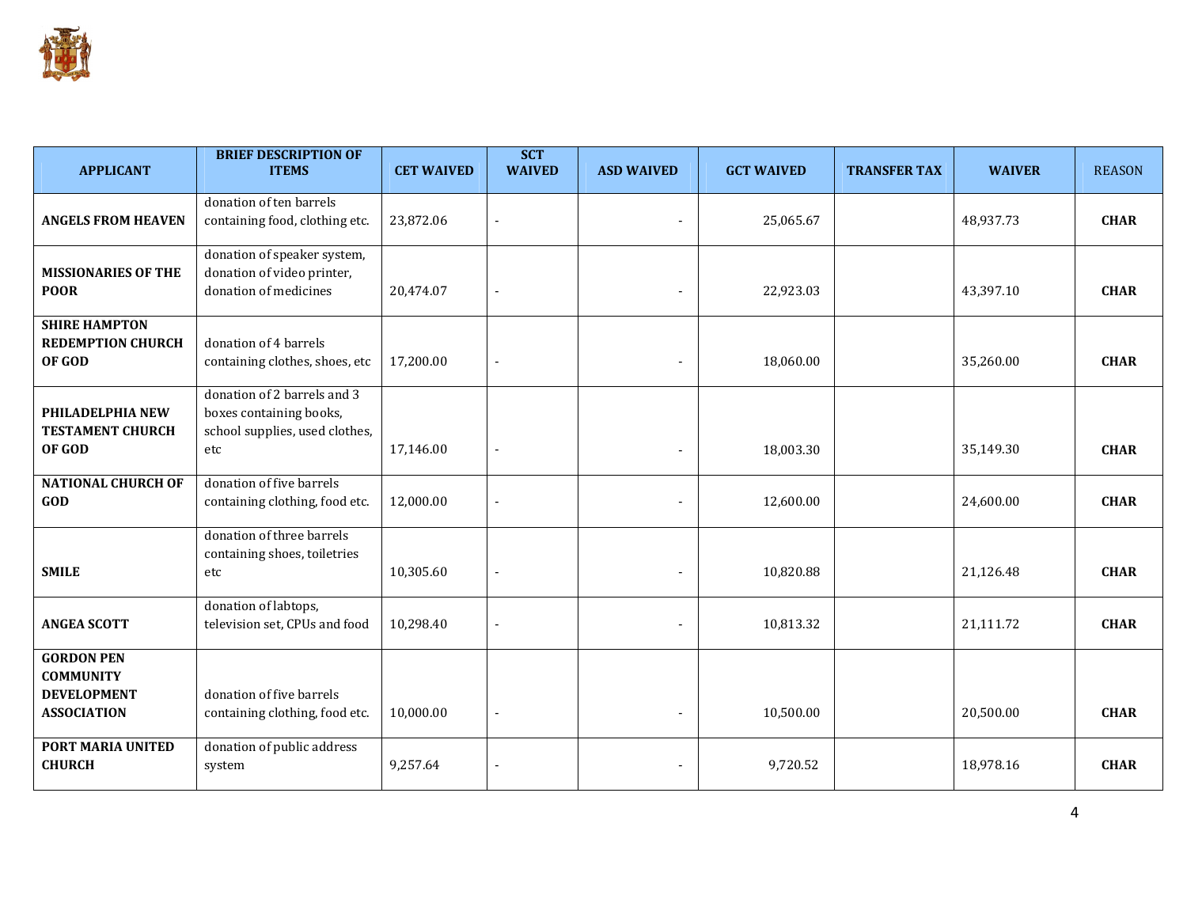

| <b>APPLICANT</b>                                                                  | <b>BRIEF DESCRIPTION OF</b><br><b>ITEMS</b>                                                     | <b>CET WAIVED</b> | <b>SCT</b><br><b>WAIVED</b> | <b>ASD WAIVED</b> | <b>GCT WAIVED</b> | <b>TRANSFER TAX</b> | <b>WAIVER</b> | <b>REASON</b> |
|-----------------------------------------------------------------------------------|-------------------------------------------------------------------------------------------------|-------------------|-----------------------------|-------------------|-------------------|---------------------|---------------|---------------|
| <b>ANGELS FROM HEAVEN</b>                                                         | donation of ten barrels<br>containing food, clothing etc.                                       | 23,872.06         |                             |                   | 25,065.67         |                     | 48,937.73     | <b>CHAR</b>   |
| <b>MISSIONARIES OF THE</b><br><b>POOR</b>                                         | donation of speaker system,<br>donation of video printer,<br>donation of medicines              | 20,474.07         |                             |                   | 22,923.03         |                     | 43,397.10     | <b>CHAR</b>   |
| <b>SHIRE HAMPTON</b><br><b>REDEMPTION CHURCH</b><br>OF GOD                        | donation of 4 barrels<br>containing clothes, shoes, etc                                         | 17,200.00         |                             |                   | 18,060.00         |                     | 35,260.00     | <b>CHAR</b>   |
| PHILADELPHIA NEW<br><b>TESTAMENT CHURCH</b><br>OF GOD                             | donation of 2 barrels and 3<br>boxes containing books,<br>school supplies, used clothes,<br>etc | 17,146.00         |                             |                   | 18,003.30         |                     | 35,149.30     | <b>CHAR</b>   |
| <b>NATIONAL CHURCH OF</b><br>GOD                                                  | donation of five barrels<br>containing clothing, food etc.                                      | 12,000.00         |                             |                   | 12,600.00         |                     | 24,600.00     | <b>CHAR</b>   |
| <b>SMILE</b>                                                                      | donation of three barrels<br>containing shoes, toiletries<br>etc                                | 10,305.60         | $\blacksquare$              |                   | 10,820.88         |                     | 21,126.48     | <b>CHAR</b>   |
| <b>ANGEA SCOTT</b>                                                                | donation of labtops,<br>television set, CPUs and food                                           | 10,298.40         |                             |                   | 10,813.32         |                     | 21,111.72     | <b>CHAR</b>   |
| <b>GORDON PEN</b><br><b>COMMUNITY</b><br><b>DEVELOPMENT</b><br><b>ASSOCIATION</b> | donation of five barrels<br>containing clothing, food etc.                                      | 10,000.00         | $\blacksquare$              |                   | 10,500.00         |                     | 20,500.00     | <b>CHAR</b>   |
| PORT MARIA UNITED<br><b>CHURCH</b>                                                | donation of public address<br>system                                                            | 9,257.64          |                             |                   | 9,720.52          |                     | 18,978.16     | <b>CHAR</b>   |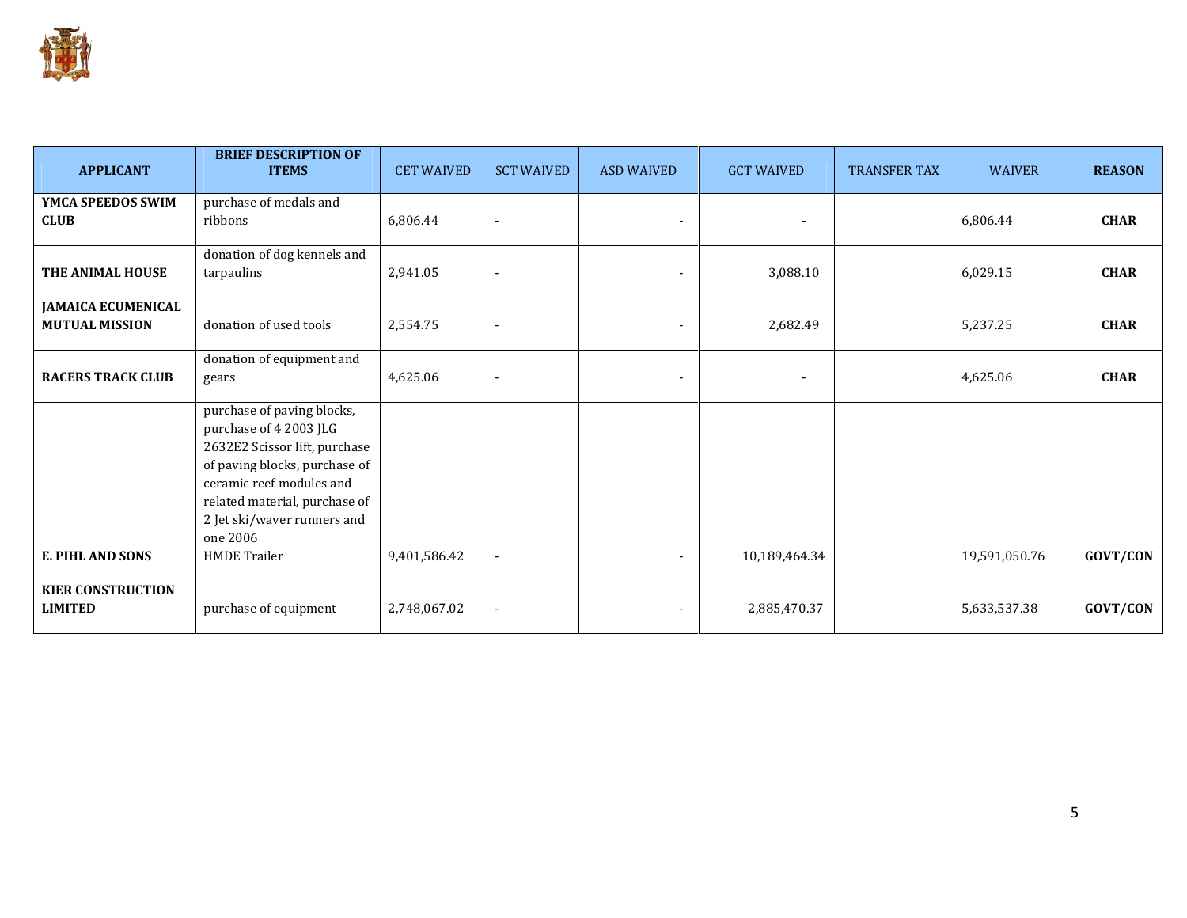

| <b>APPLICANT</b>                                   | <b>BRIEF DESCRIPTION OF</b><br><b>ITEMS</b>                                                                                                                                                                                                           | <b>CET WAIVED</b> | <b>SCT WAIVED</b>        | <b>ASD WAIVED</b> | <b>GCT WAIVED</b>        | <b>TRANSFER TAX</b> | <b>WAIVER</b> | <b>REASON</b> |
|----------------------------------------------------|-------------------------------------------------------------------------------------------------------------------------------------------------------------------------------------------------------------------------------------------------------|-------------------|--------------------------|-------------------|--------------------------|---------------------|---------------|---------------|
| YMCA SPEEDOS SWIM<br><b>CLUB</b>                   | purchase of medals and<br>ribbons                                                                                                                                                                                                                     | 6,806.44          |                          | $\blacksquare$    |                          |                     | 6,806.44      | <b>CHAR</b>   |
| THE ANIMAL HOUSE                                   | donation of dog kennels and<br>tarpaulins                                                                                                                                                                                                             | 2,941.05          |                          |                   | 3,088.10                 |                     | 6,029.15      | <b>CHAR</b>   |
| <b>JAMAICA ECUMENICAL</b><br><b>MUTUAL MISSION</b> | donation of used tools                                                                                                                                                                                                                                | 2,554.75          |                          |                   | 2,682.49                 |                     | 5,237.25      | <b>CHAR</b>   |
| <b>RACERS TRACK CLUB</b>                           | donation of equipment and<br>gears                                                                                                                                                                                                                    | 4,625.06          | $\overline{\phantom{a}}$ | $\blacksquare$    | $\overline{\phantom{a}}$ |                     | 4,625.06      | <b>CHAR</b>   |
| <b>E. PIHL AND SONS</b>                            | purchase of paving blocks,<br>purchase of 4 2003 JLG<br>2632E2 Scissor lift, purchase<br>of paving blocks, purchase of<br>ceramic reef modules and<br>related material, purchase of<br>2 Jet ski/waver runners and<br>one 2006<br><b>HMDE</b> Trailer | 9,401,586.42      |                          |                   | 10,189,464.34            |                     | 19,591,050.76 | GOVT/CON      |
| <b>KIER CONSTRUCTION</b><br><b>LIMITED</b>         | purchase of equipment                                                                                                                                                                                                                                 | 2,748,067.02      |                          |                   | 2,885,470.37             |                     | 5,633,537.38  | GOVT/CON      |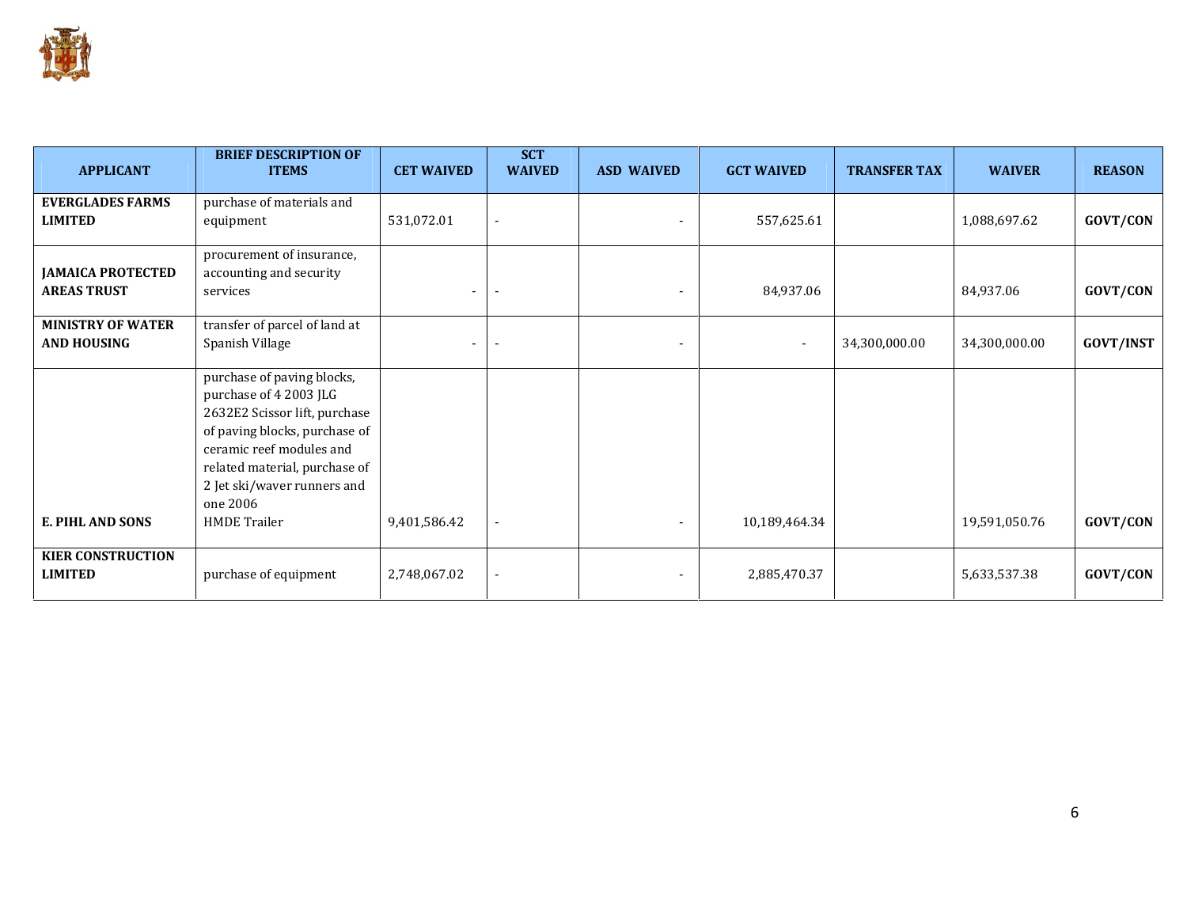

| <b>APPLICANT</b>                               | <b>BRIEF DESCRIPTION OF</b><br><b>ITEMS</b>                                                                                                                                                                                                           | <b>CET WAIVED</b> | <b>SCT</b><br><b>WAIVED</b> | <b>ASD WAIVED</b> | <b>GCT WAIVED</b>        | <b>TRANSFER TAX</b> | <b>WAIVER</b> | <b>REASON</b>    |
|------------------------------------------------|-------------------------------------------------------------------------------------------------------------------------------------------------------------------------------------------------------------------------------------------------------|-------------------|-----------------------------|-------------------|--------------------------|---------------------|---------------|------------------|
| <b>EVERGLADES FARMS</b><br><b>LIMITED</b>      | purchase of materials and<br>equipment                                                                                                                                                                                                                | 531,072.01        |                             |                   | 557,625.61               |                     | 1,088,697.62  | GOVT/CON         |
| <b>JAMAICA PROTECTED</b><br><b>AREAS TRUST</b> | procurement of insurance,<br>accounting and security<br>services                                                                                                                                                                                      |                   |                             |                   | 84,937.06                |                     | 84,937.06     | GOVT/CON         |
| <b>MINISTRY OF WATER</b><br><b>AND HOUSING</b> | transfer of parcel of land at<br>Spanish Village                                                                                                                                                                                                      |                   |                             |                   | $\overline{\phantom{a}}$ | 34,300,000.00       | 34,300,000.00 | <b>GOVT/INST</b> |
| <b>E. PIHL AND SONS</b>                        | purchase of paving blocks,<br>purchase of 4 2003 JLG<br>2632E2 Scissor lift, purchase<br>of paving blocks, purchase of<br>ceramic reef modules and<br>related material, purchase of<br>2 Jet ski/waver runners and<br>one 2006<br><b>HMDE Trailer</b> | 9,401,586.42      |                             |                   | 10,189,464.34            |                     | 19,591,050.76 | GOVT/CON         |
| <b>KIER CONSTRUCTION</b><br><b>LIMITED</b>     | purchase of equipment                                                                                                                                                                                                                                 | 2,748,067.02      |                             |                   | 2,885,470.37             |                     | 5,633,537.38  | GOVT/CON         |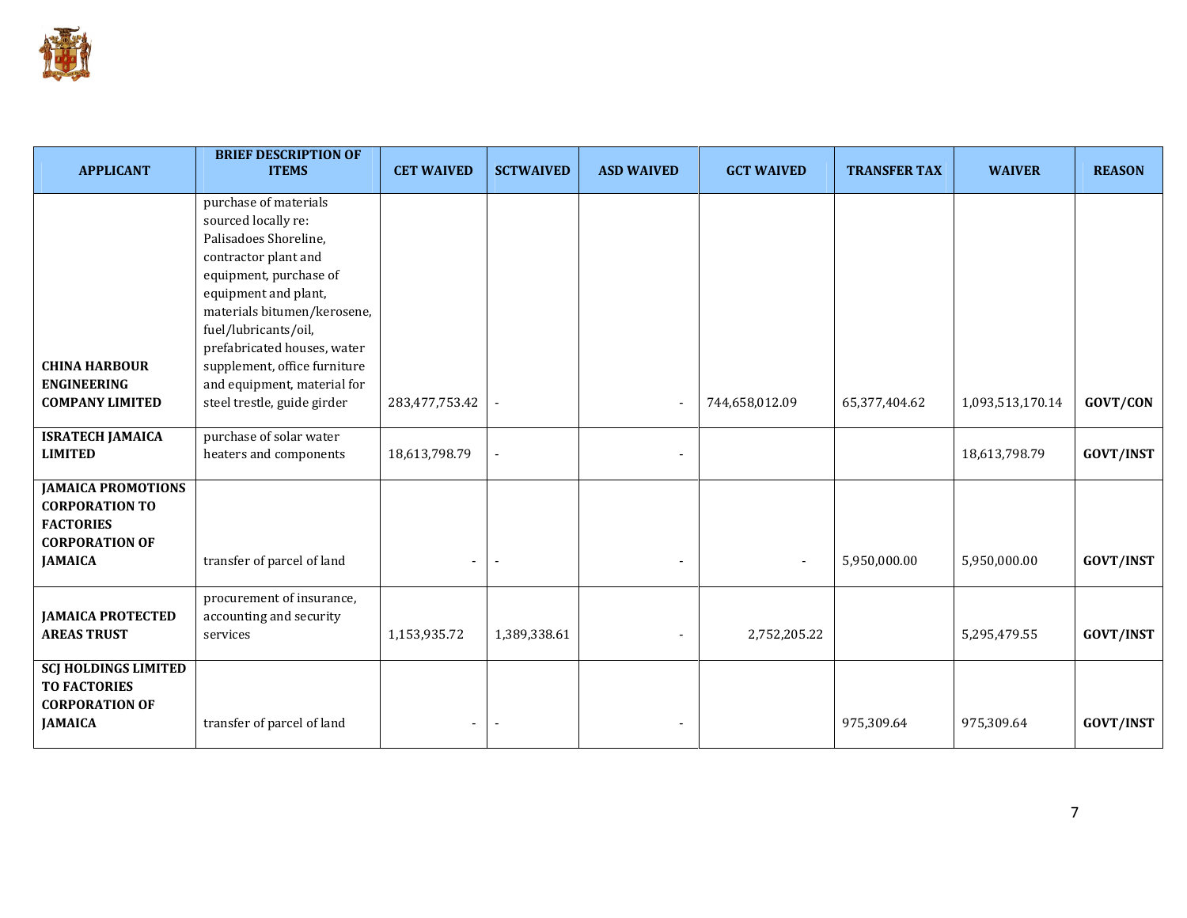

| <b>APPLICANT</b>                                                                                                  | <b>BRIEF DESCRIPTION OF</b><br><b>ITEMS</b>                                                                                                                                                                                                                                                                                         | <b>CET WAIVED</b>        | <b>SCTWAIVED</b> | <b>ASD WAIVED</b> | <b>GCT WAIVED</b>        | <b>TRANSFER TAX</b> | <b>WAIVER</b>    | <b>REASON</b>    |
|-------------------------------------------------------------------------------------------------------------------|-------------------------------------------------------------------------------------------------------------------------------------------------------------------------------------------------------------------------------------------------------------------------------------------------------------------------------------|--------------------------|------------------|-------------------|--------------------------|---------------------|------------------|------------------|
| <b>CHINA HARBOUR</b><br><b>ENGINEERING</b><br><b>COMPANY LIMITED</b>                                              | purchase of materials<br>sourced locally re:<br>Palisadoes Shoreline,<br>contractor plant and<br>equipment, purchase of<br>equipment and plant,<br>materials bitumen/kerosene,<br>fuel/lubricants/oil,<br>prefabricated houses, water<br>supplement, office furniture<br>and equipment, material for<br>steel trestle, guide girder | 283,477,753.42           |                  |                   | 744,658,012.09           | 65,377,404.62       | 1,093,513,170.14 | <b>GOVT/CON</b>  |
| <b>ISRATECH JAMAICA</b><br><b>LIMITED</b>                                                                         | purchase of solar water<br>heaters and components                                                                                                                                                                                                                                                                                   | 18,613,798.79            |                  |                   |                          |                     | 18,613,798.79    | <b>GOVT/INST</b> |
| <b>JAMAICA PROMOTIONS</b><br><b>CORPORATION TO</b><br><b>FACTORIES</b><br><b>CORPORATION OF</b><br><b>JAMAICA</b> | transfer of parcel of land                                                                                                                                                                                                                                                                                                          | $\overline{\phantom{0}}$ |                  |                   | $\overline{\phantom{a}}$ | 5,950,000.00        | 5,950,000.00     | <b>GOVT/INST</b> |
| <b>JAMAICA PROTECTED</b><br><b>AREAS TRUST</b>                                                                    | procurement of insurance,<br>accounting and security<br>services                                                                                                                                                                                                                                                                    | 1,153,935.72             | 1,389,338.61     |                   | 2,752,205.22             |                     | 5,295,479.55     | <b>GOVT/INST</b> |
| <b>SCJ HOLDINGS LIMITED</b><br><b>TO FACTORIES</b><br><b>CORPORATION OF</b><br><b>JAMAICA</b>                     | transfer of parcel of land                                                                                                                                                                                                                                                                                                          |                          |                  |                   |                          | 975,309.64          | 975,309.64       | <b>GOVT/INST</b> |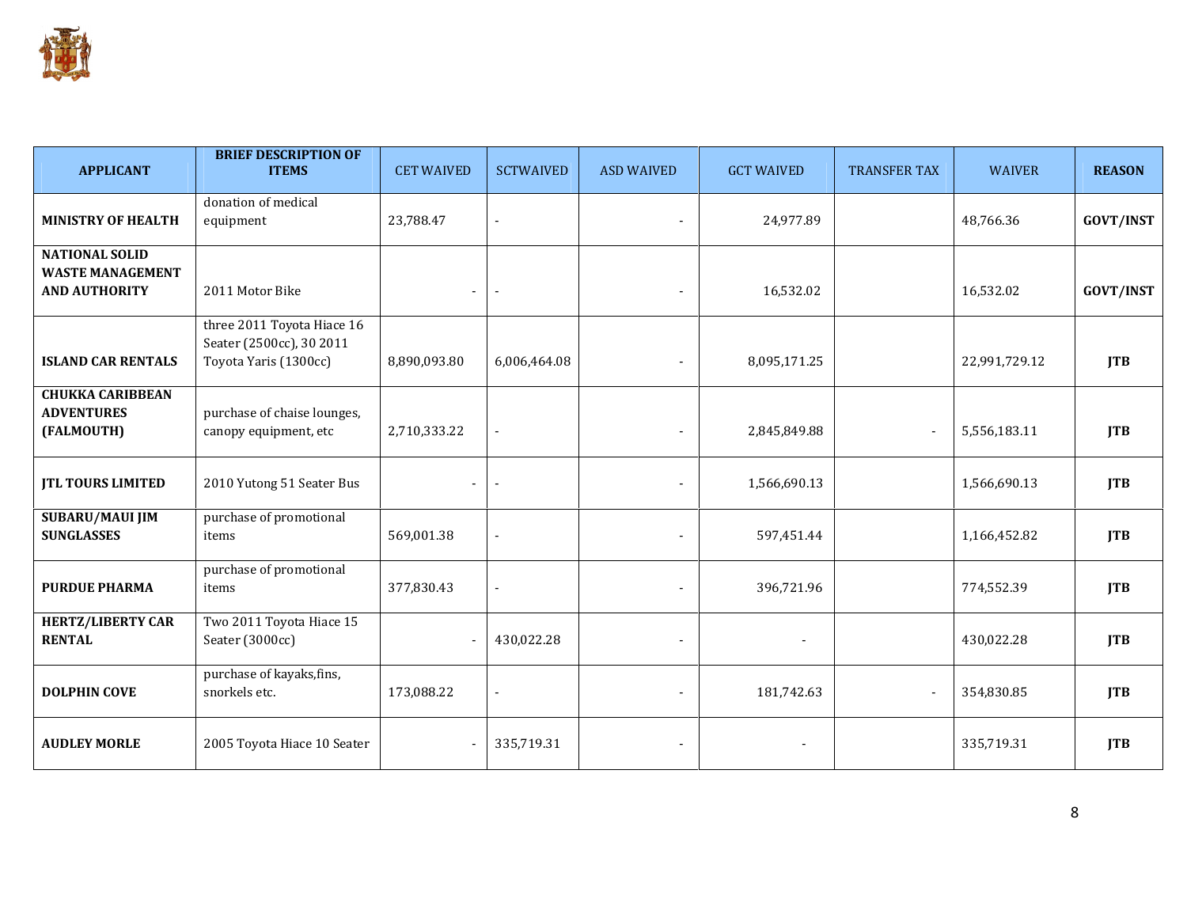

| <b>APPLICANT</b>                                                         | <b>BRIEF DESCRIPTION OF</b><br><b>ITEMS</b>                                     | <b>CET WAIVED</b> | <b>SCTWAIVED</b> | <b>ASD WAIVED</b> | <b>GCT WAIVED</b> | <b>TRANSFER TAX</b> | <b>WAIVER</b> | <b>REASON</b>    |
|--------------------------------------------------------------------------|---------------------------------------------------------------------------------|-------------------|------------------|-------------------|-------------------|---------------------|---------------|------------------|
| <b>MINISTRY OF HEALTH</b>                                                | donation of medical<br>equipment                                                | 23,788.47         |                  |                   | 24,977.89         |                     | 48,766.36     | <b>GOVT/INST</b> |
| <b>NATIONAL SOLID</b><br><b>WASTE MANAGEMENT</b><br><b>AND AUTHORITY</b> | 2011 Motor Bike                                                                 | $\blacksquare$    | $\blacksquare$   |                   | 16,532.02         |                     | 16,532.02     | <b>GOVT/INST</b> |
| <b>ISLAND CAR RENTALS</b>                                                | three 2011 Toyota Hiace 16<br>Seater (2500cc), 30 2011<br>Toyota Yaris (1300cc) | 8,890,093.80      | 6,006,464.08     |                   | 8,095,171.25      |                     | 22,991,729.12 | <b>JTB</b>       |
| <b>CHUKKA CARIBBEAN</b><br><b>ADVENTURES</b><br>(FALMOUTH)               | purchase of chaise lounges,<br>canopy equipment, etc                            | 2,710,333.22      |                  |                   | 2,845,849.88      | $\sim$              | 5,556,183.11  | <b>JTB</b>       |
| <b>JTL TOURS LIMITED</b>                                                 | 2010 Yutong 51 Seater Bus                                                       |                   | $\sim$           |                   | 1,566,690.13      |                     | 1,566,690.13  | <b>JTB</b>       |
| <b>SUBARU/MAUI JIM</b><br><b>SUNGLASSES</b>                              | purchase of promotional<br>items                                                | 569,001.38        |                  |                   | 597,451.44        |                     | 1,166,452.82  | <b>JTB</b>       |
| <b>PURDUE PHARMA</b>                                                     | purchase of promotional<br>items                                                | 377,830.43        |                  |                   | 396,721.96        |                     | 774,552.39    | <b>JTB</b>       |
| <b>HERTZ/LIBERTY CAR</b><br><b>RENTAL</b>                                | Two 2011 Toyota Hiace 15<br>Seater (3000cc)                                     |                   | 430,022.28       | $\overline{a}$    |                   |                     | 430,022.28    | <b>JTB</b>       |
| <b>DOLPHIN COVE</b>                                                      | purchase of kayaks, fins,<br>snorkels etc.                                      | 173,088.22        | $\overline{a}$   |                   | 181,742.63        |                     | 354,830.85    | <b>JTB</b>       |
| <b>AUDLEY MORLE</b>                                                      | 2005 Toyota Hiace 10 Seater                                                     |                   | 335,719.31       |                   |                   |                     | 335,719.31    | <b>JTB</b>       |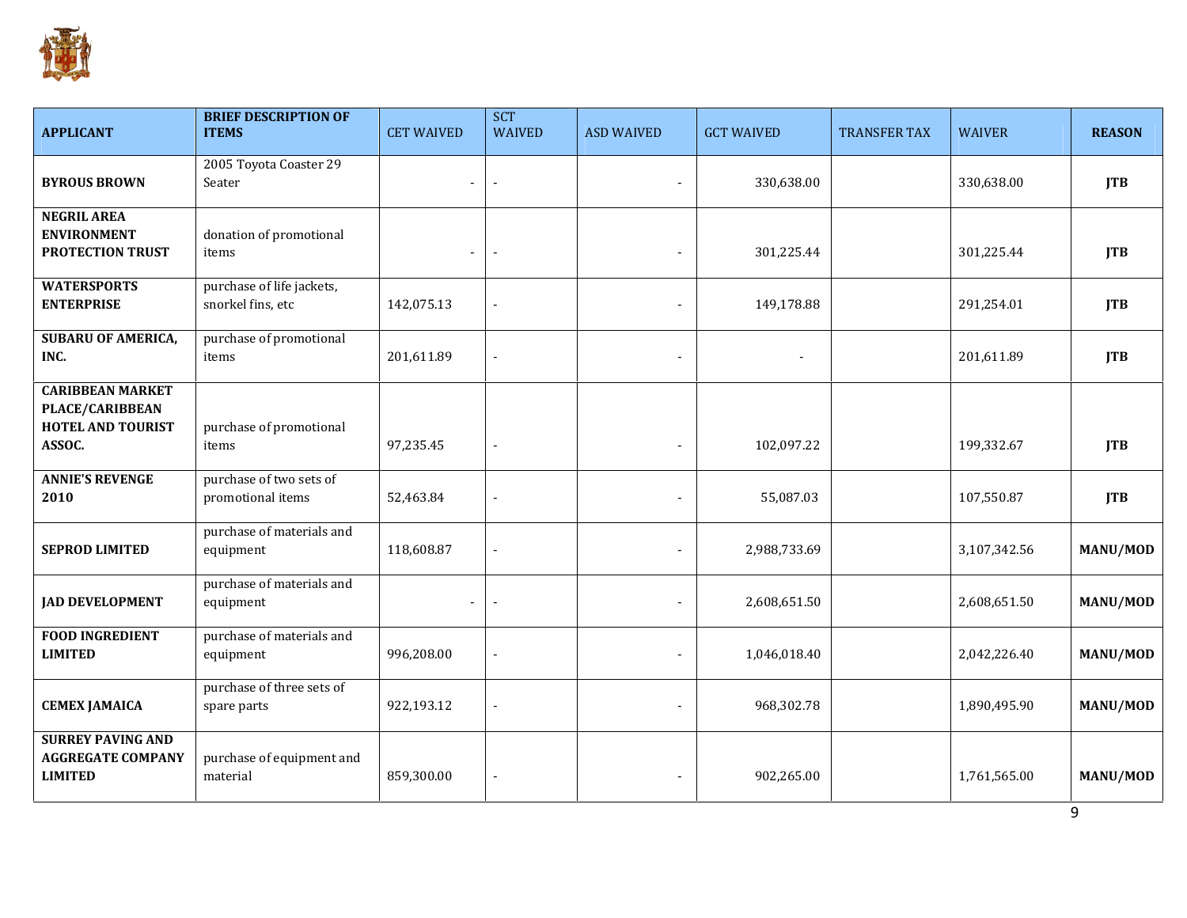

| <b>APPLICANT</b>                                                                        | <b>BRIEF DESCRIPTION OF</b><br><b>ITEMS</b>    | <b>CET WAIVED</b>        | <b>SCT</b><br><b>WAIVED</b> | <b>ASD WAIVED</b> | <b>GCT WAIVED</b> | TRANSFER TAX | <b>WAIVER</b> | <b>REASON</b>   |
|-----------------------------------------------------------------------------------------|------------------------------------------------|--------------------------|-----------------------------|-------------------|-------------------|--------------|---------------|-----------------|
| <b>BYROUS BROWN</b>                                                                     | 2005 Toyota Coaster 29<br>Seater               | $\overline{a}$           |                             |                   | 330,638.00        |              | 330,638.00    | <b>JTB</b>      |
| <b>NEGRIL AREA</b><br><b>ENVIRONMENT</b><br>PROTECTION TRUST                            | donation of promotional<br>items               | $\overline{\phantom{a}}$ | $\overline{\phantom{a}}$    |                   | 301,225.44        |              | 301,225.44    | <b>JTB</b>      |
| <b>WATERSPORTS</b><br><b>ENTERPRISE</b>                                                 | purchase of life jackets,<br>snorkel fins, etc | 142,075.13               |                             |                   | 149,178.88        |              | 291,254.01    | <b>JTB</b>      |
| <b>SUBARU OF AMERICA,</b><br>INC.                                                       | purchase of promotional<br>items               | 201,611.89               |                             |                   |                   |              | 201,611.89    | <b>JTB</b>      |
| <b>CARIBBEAN MARKET</b><br><b>PLACE/CARIBBEAN</b><br><b>HOTEL AND TOURIST</b><br>ASSOC. | purchase of promotional<br>items               | 97,235.45                | $\blacksquare$              | $\blacksquare$    | 102,097.22        |              | 199,332.67    | <b>JTB</b>      |
| <b>ANNIE'S REVENGE</b><br>2010                                                          | purchase of two sets of<br>promotional items   | 52,463.84                |                             |                   | 55,087.03         |              | 107,550.87    | <b>JTB</b>      |
| <b>SEPROD LIMITED</b>                                                                   | purchase of materials and<br>equipment         | 118,608.87               |                             |                   | 2,988,733.69      |              | 3,107,342.56  | <b>MANU/MOD</b> |
| <b>JAD DEVELOPMENT</b>                                                                  | purchase of materials and<br>equipment         | $\overline{\phantom{a}}$ |                             |                   | 2,608,651.50      |              | 2,608,651.50  | <b>MANU/MOD</b> |
| <b>FOOD INGREDIENT</b><br><b>LIMITED</b>                                                | purchase of materials and<br>equipment         | 996,208.00               |                             |                   | 1,046,018.40      |              | 2,042,226.40  | <b>MANU/MOD</b> |
| <b>CEMEX JAMAICA</b>                                                                    | purchase of three sets of<br>spare parts       | 922,193.12               |                             |                   | 968,302.78        |              | 1,890,495.90  | <b>MANU/MOD</b> |
| <b>SURREY PAVING AND</b><br><b>AGGREGATE COMPANY</b><br><b>LIMITED</b>                  | purchase of equipment and<br>material          | 859,300.00               | $\blacksquare$              |                   | 902,265.00        |              | 1,761,565.00  | <b>MANU/MOD</b> |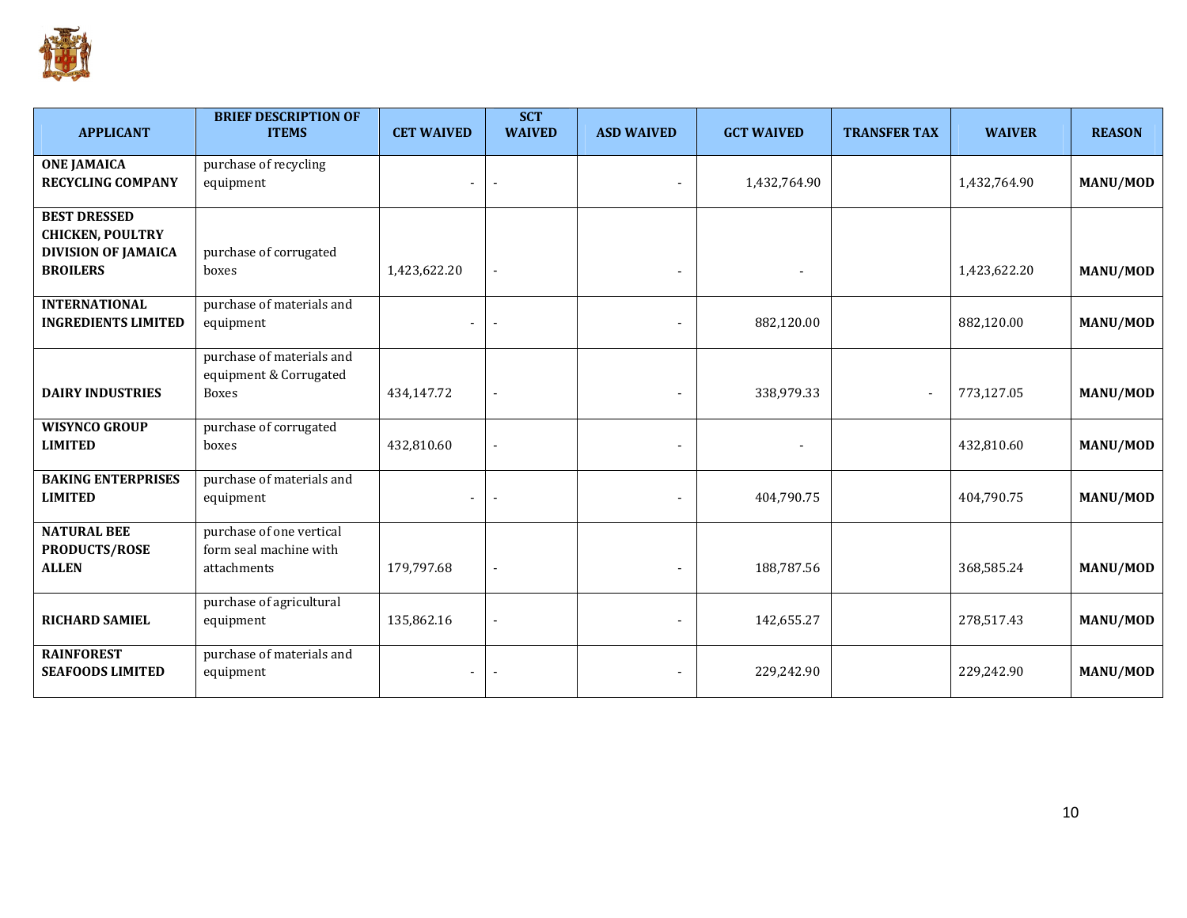

| <b>APPLICANT</b>                                                             | <b>BRIEF DESCRIPTION OF</b><br><b>ITEMS</b>                       | <b>CET WAIVED</b> | <b>SCT</b><br><b>WAIVED</b> | <b>ASD WAIVED</b> | <b>GCT WAIVED</b> | <b>TRANSFER TAX</b>      | <b>WAIVER</b> | <b>REASON</b>   |
|------------------------------------------------------------------------------|-------------------------------------------------------------------|-------------------|-----------------------------|-------------------|-------------------|--------------------------|---------------|-----------------|
| <b>ONE JAMAICA</b><br><b>RECYCLING COMPANY</b>                               | purchase of recycling<br>equipment                                |                   |                             |                   | 1,432,764.90      |                          | 1,432,764.90  | <b>MANU/MOD</b> |
| <b>BEST DRESSED</b><br><b>CHICKEN, POULTRY</b><br><b>DIVISION OF JAMAICA</b> | purchase of corrugated                                            |                   |                             |                   |                   |                          |               |                 |
| <b>BROILERS</b><br><b>INTERNATIONAL</b>                                      | boxes<br>purchase of materials and                                | 1,423,622.20      |                             |                   |                   |                          | 1,423,622.20  | MANU/MOD        |
| <b>INGREDIENTS LIMITED</b>                                                   | equipment                                                         |                   | $\blacksquare$              |                   | 882,120.00        |                          | 882,120.00    | <b>MANU/MOD</b> |
| <b>DAIRY INDUSTRIES</b>                                                      | purchase of materials and<br>equipment & Corrugated<br>Boxes      | 434,147.72        | $\overline{\phantom{a}}$    |                   | 338,979.33        | $\overline{\phantom{a}}$ | 773,127.05    | <b>MANU/MOD</b> |
| <b>WISYNCO GROUP</b><br><b>LIMITED</b>                                       | purchase of corrugated<br>boxes                                   | 432,810.60        |                             |                   |                   |                          | 432,810.60    | <b>MANU/MOD</b> |
| <b>BAKING ENTERPRISES</b><br><b>LIMITED</b>                                  | purchase of materials and<br>equipment                            |                   |                             |                   | 404,790.75        |                          | 404,790.75    | <b>MANU/MOD</b> |
| <b>NATURAL BEE</b><br><b>PRODUCTS/ROSE</b><br><b>ALLEN</b>                   | purchase of one vertical<br>form seal machine with<br>attachments | 179,797.68        | $\blacksquare$              |                   | 188,787.56        |                          | 368,585.24    | <b>MANU/MOD</b> |
| <b>RICHARD SAMIEL</b>                                                        | purchase of agricultural<br>equipment                             | 135,862.16        |                             |                   | 142,655.27        |                          | 278,517.43    | <b>MANU/MOD</b> |
| <b>RAINFOREST</b><br><b>SEAFOODS LIMITED</b>                                 | purchase of materials and<br>equipment                            |                   |                             |                   | 229,242.90        |                          | 229,242.90    | <b>MANU/MOD</b> |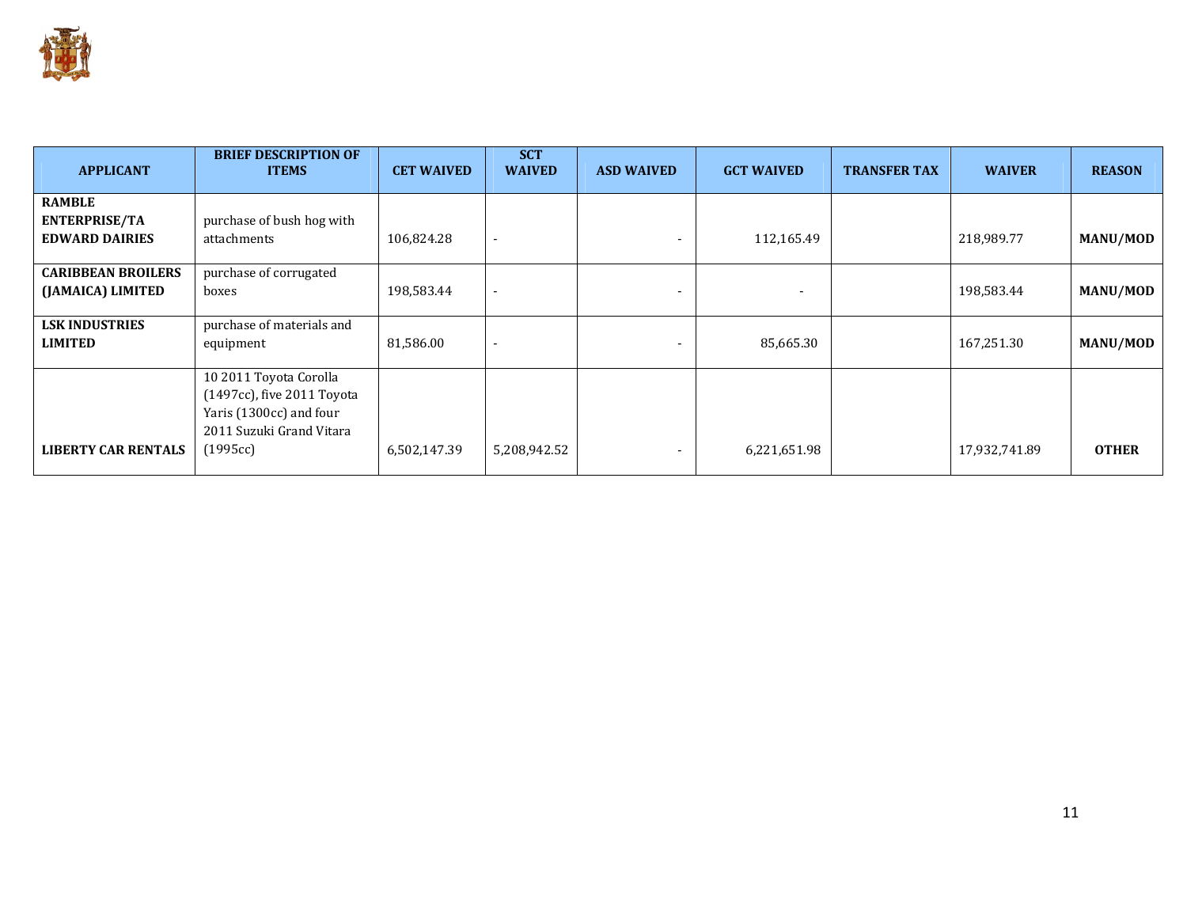

| <b>APPLICANT</b>                                               | <b>BRIEF DESCRIPTION OF</b><br><b>ITEMS</b>                                                                 | <b>CET WAIVED</b> | <b>SCT</b><br><b>WAIVED</b> | <b>ASD WAIVED</b> | <b>GCT WAIVED</b> | <b>TRANSFER TAX</b> | <b>WAIVER</b> | <b>REASON</b>   |
|----------------------------------------------------------------|-------------------------------------------------------------------------------------------------------------|-------------------|-----------------------------|-------------------|-------------------|---------------------|---------------|-----------------|
| <b>RAMBLE</b><br><b>ENTERPRISE/TA</b><br><b>EDWARD DAIRIES</b> | purchase of bush hog with<br>attachments                                                                    | 106,824.28        | $\overline{\phantom{a}}$    | $\sim$            | 112,165.49        |                     | 218,989.77    | <b>MANU/MOD</b> |
| <b>CARIBBEAN BROILERS</b><br>(JAMAICA) LIMITED                 | purchase of corrugated<br>boxes                                                                             | 198,583.44        | $\sim$                      |                   |                   |                     | 198,583.44    | MANU/MOD        |
| <b>LSK INDUSTRIES</b><br><b>LIMITED</b>                        | purchase of materials and<br>equipment                                                                      | 81,586.00         | $\overline{\phantom{a}}$    |                   | 85,665.30         |                     | 167,251.30    | MANU/MOD        |
|                                                                | 10 2011 Toyota Corolla<br>(1497cc), five 2011 Toyota<br>Yaris (1300cc) and four<br>2011 Suzuki Grand Vitara |                   |                             |                   |                   |                     |               |                 |
| <b>LIBERTY CAR RENTALS</b>                                     | (1995cc)                                                                                                    | 6,502,147.39      | 5,208,942.52                |                   | 6,221,651.98      |                     | 17,932,741.89 | <b>OTHER</b>    |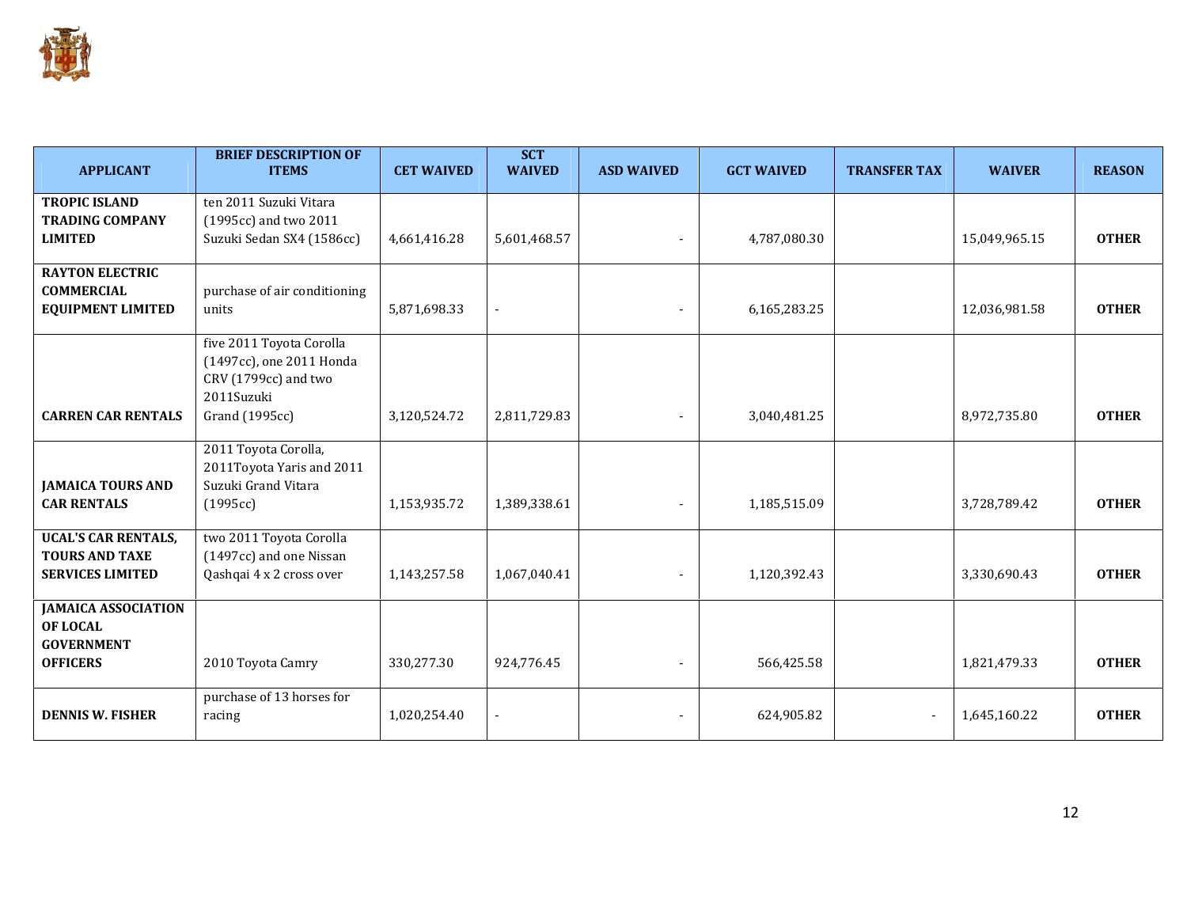

| <b>APPLICANT</b>           | <b>BRIEF DESCRIPTION OF</b><br><b>ITEMS</b> | <b>CET WAIVED</b> | <b>SCT</b><br><b>WAIVED</b> | <b>ASD WAIVED</b> | <b>GCT WAIVED</b> | <b>TRANSFER TAX</b> | <b>WAIVER</b> | <b>REASON</b> |
|----------------------------|---------------------------------------------|-------------------|-----------------------------|-------------------|-------------------|---------------------|---------------|---------------|
| <b>TROPIC ISLAND</b>       | ten 2011 Suzuki Vitara                      |                   |                             |                   |                   |                     |               |               |
| <b>TRADING COMPANY</b>     | (1995cc) and two 2011                       |                   |                             |                   |                   |                     |               |               |
| <b>LIMITED</b>             | Suzuki Sedan SX4 (1586cc)                   | 4,661,416.28      | 5,601,468.57                |                   | 4,787,080.30      |                     | 15,049,965.15 | <b>OTHER</b>  |
| <b>RAYTON ELECTRIC</b>     |                                             |                   |                             |                   |                   |                     |               |               |
| <b>COMMERCIAL</b>          | purchase of air conditioning                |                   |                             |                   |                   |                     |               |               |
| <b>EQUIPMENT LIMITED</b>   | units                                       | 5,871,698.33      | $\overline{\phantom{a}}$    |                   | 6,165,283.25      |                     | 12,036,981.58 | <b>OTHER</b>  |
|                            | five 2011 Toyota Corolla                    |                   |                             |                   |                   |                     |               |               |
|                            | (1497cc), one 2011 Honda                    |                   |                             |                   |                   |                     |               |               |
|                            | CRV (1799cc) and two                        |                   |                             |                   |                   |                     |               |               |
|                            | 2011Suzuki                                  |                   |                             |                   |                   |                     |               |               |
| <b>CARREN CAR RENTALS</b>  | Grand (1995cc)                              | 3,120,524.72      | 2,811,729.83                |                   | 3,040,481.25      |                     | 8,972,735.80  | <b>OTHER</b>  |
|                            | 2011 Toyota Corolla,                        |                   |                             |                   |                   |                     |               |               |
|                            | 2011Toyota Yaris and 2011                   |                   |                             |                   |                   |                     |               |               |
| <b>JAMAICA TOURS AND</b>   | Suzuki Grand Vitara                         |                   |                             |                   |                   |                     |               |               |
| <b>CAR RENTALS</b>         | (1995cc)                                    | 1,153,935.72      | 1,389,338.61                |                   | 1,185,515.09      |                     | 3,728,789.42  | <b>OTHER</b>  |
| <b>UCAL'S CAR RENTALS,</b> | two 2011 Toyota Corolla                     |                   |                             |                   |                   |                     |               |               |
| <b>TOURS AND TAXE</b>      | (1497cc) and one Nissan                     |                   |                             |                   |                   |                     |               |               |
| <b>SERVICES LIMITED</b>    | Qashqai 4 x 2 cross over                    | 1,143,257.58      | 1,067,040.41                |                   | 1,120,392.43      |                     | 3,330,690.43  | <b>OTHER</b>  |
| <b>JAMAICA ASSOCIATION</b> |                                             |                   |                             |                   |                   |                     |               |               |
| OF LOCAL                   |                                             |                   |                             |                   |                   |                     |               |               |
| <b>GOVERNMENT</b>          |                                             |                   |                             |                   |                   |                     |               |               |
| <b>OFFICERS</b>            | 2010 Toyota Camry                           | 330,277.30        | 924,776.45                  |                   | 566,425.58        |                     | 1,821,479.33  | <b>OTHER</b>  |
|                            | purchase of 13 horses for                   |                   |                             |                   |                   |                     |               |               |
| <b>DENNIS W. FISHER</b>    | racing                                      | 1,020,254.40      |                             |                   | 624,905.82        |                     | 1,645,160.22  | <b>OTHER</b>  |
|                            |                                             |                   |                             |                   |                   |                     |               |               |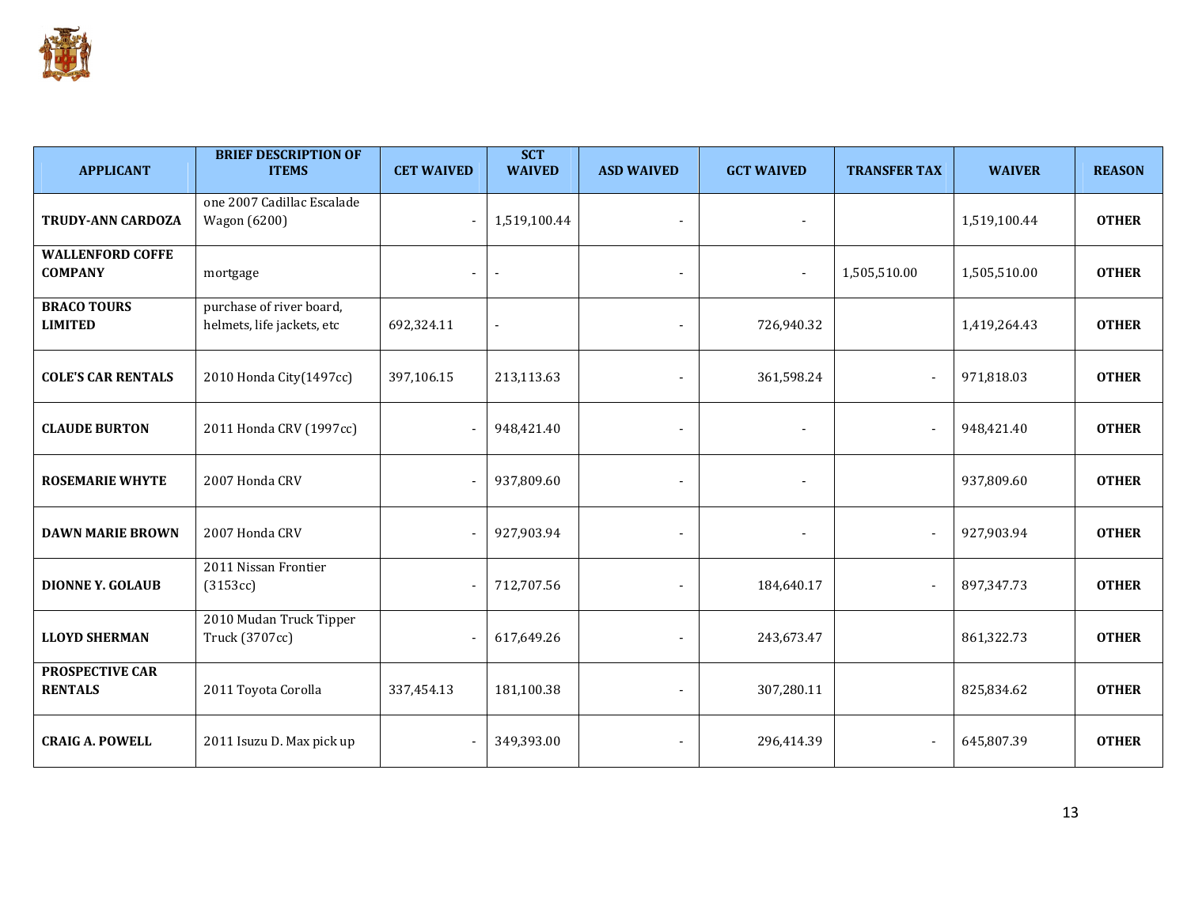

| <b>APPLICANT</b>                          | <b>BRIEF DESCRIPTION OF</b><br><b>ITEMS</b>            | <b>CET WAIVED</b> | <b>SCT</b><br><b>WAIVED</b> | <b>ASD WAIVED</b> | <b>GCT WAIVED</b> | <b>TRANSFER TAX</b>      | <b>WAIVER</b> | <b>REASON</b> |
|-------------------------------------------|--------------------------------------------------------|-------------------|-----------------------------|-------------------|-------------------|--------------------------|---------------|---------------|
| TRUDY-ANN CARDOZA                         | one 2007 Cadillac Escalade<br>Wagon (6200)             |                   | 1,519,100.44                |                   |                   |                          | 1,519,100.44  | <b>OTHER</b>  |
| <b>WALLENFORD COFFE</b><br><b>COMPANY</b> | mortgage                                               |                   |                             |                   | $\sim$            | 1,505,510.00             | 1,505,510.00  | <b>OTHER</b>  |
| <b>BRACO TOURS</b><br><b>LIMITED</b>      | purchase of river board,<br>helmets, life jackets, etc | 692,324.11        |                             |                   | 726,940.32        |                          | 1,419,264.43  | <b>OTHER</b>  |
| <b>COLE'S CAR RENTALS</b>                 | 2010 Honda City(1497cc)                                | 397,106.15        | 213,113.63                  |                   | 361,598.24        |                          | 971,818.03    | <b>OTHER</b>  |
| <b>CLAUDE BURTON</b>                      | 2011 Honda CRV (1997cc)                                |                   | 948,421.40                  |                   |                   | $\overline{\phantom{a}}$ | 948,421.40    | <b>OTHER</b>  |
| <b>ROSEMARIE WHYTE</b>                    | 2007 Honda CRV                                         |                   | 937,809.60                  | $\blacksquare$    | $\sim$            |                          | 937,809.60    | <b>OTHER</b>  |
| <b>DAWN MARIE BROWN</b>                   | 2007 Honda CRV                                         |                   | 927,903.94                  |                   |                   |                          | 927,903.94    | <b>OTHER</b>  |
| <b>DIONNE Y. GOLAUB</b>                   | 2011 Nissan Frontier<br>(3153cc)                       |                   | 712,707.56                  |                   | 184,640.17        | $\overline{\phantom{a}}$ | 897,347.73    | <b>OTHER</b>  |
| <b>LLOYD SHERMAN</b>                      | 2010 Mudan Truck Tipper<br>Truck (3707cc)              |                   | 617,649.26                  |                   | 243,673.47        |                          | 861,322.73    | <b>OTHER</b>  |
| <b>PROSPECTIVE CAR</b><br><b>RENTALS</b>  | 2011 Toyota Corolla                                    | 337,454.13        | 181,100.38                  |                   | 307,280.11        |                          | 825,834.62    | <b>OTHER</b>  |
| <b>CRAIG A. POWELL</b>                    | 2011 Isuzu D. Max pick up                              |                   | 349,393.00                  |                   | 296,414.39        |                          | 645,807.39    | <b>OTHER</b>  |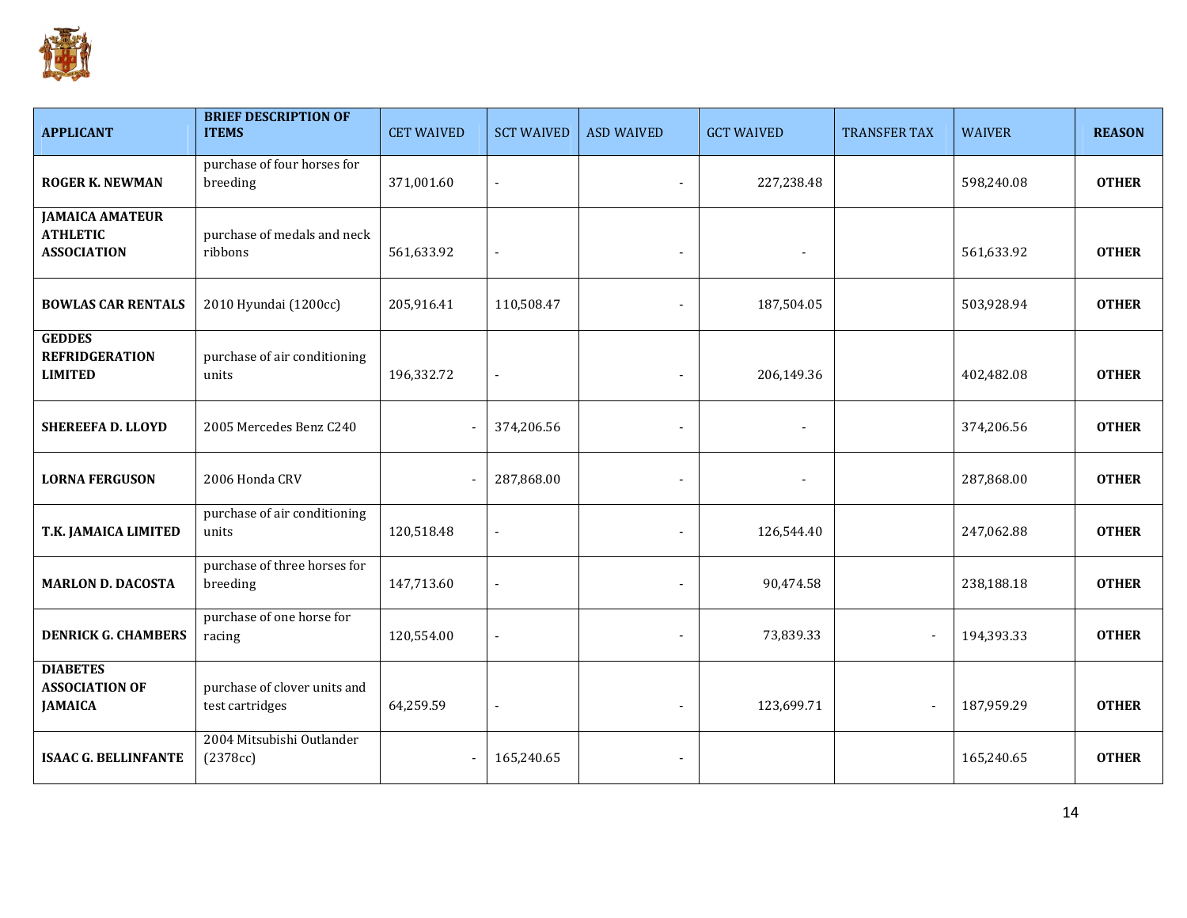

| <b>APPLICANT</b>                                                | <b>BRIEF DESCRIPTION OF</b><br><b>ITEMS</b>     | <b>CET WAIVED</b> | <b>SCT WAIVED</b> | <b>ASD WAIVED</b> | <b>GCT WAIVED</b> | <b>TRANSFER TAX</b> | <b>WAIVER</b> | <b>REASON</b> |
|-----------------------------------------------------------------|-------------------------------------------------|-------------------|-------------------|-------------------|-------------------|---------------------|---------------|---------------|
| <b>ROGER K. NEWMAN</b>                                          | purchase of four horses for<br>breeding         | 371,001.60        |                   |                   | 227,238.48        |                     | 598,240.08    | <b>OTHER</b>  |
| <b>JAMAICA AMATEUR</b><br><b>ATHLETIC</b><br><b>ASSOCIATION</b> | purchase of medals and neck<br>ribbons          | 561,633.92        |                   |                   | $\blacksquare$    |                     | 561,633.92    | <b>OTHER</b>  |
| <b>BOWLAS CAR RENTALS</b>                                       | 2010 Hyundai (1200cc)                           | 205,916.41        | 110,508.47        |                   | 187,504.05        |                     | 503,928.94    | <b>OTHER</b>  |
| <b>GEDDES</b><br><b>REFRIDGERATION</b><br><b>LIMITED</b>        | purchase of air conditioning<br>units           | 196,332.72        |                   |                   | 206,149.36        |                     | 402,482.08    | <b>OTHER</b>  |
| <b>SHEREEFA D. LLOYD</b>                                        | 2005 Mercedes Benz C240                         |                   | 374,206.56        |                   |                   |                     | 374,206.56    | <b>OTHER</b>  |
| <b>LORNA FERGUSON</b>                                           | 2006 Honda CRV                                  |                   | 287,868.00        |                   |                   |                     | 287,868.00    | <b>OTHER</b>  |
| T.K. JAMAICA LIMITED                                            | purchase of air conditioning<br>units           | 120,518.48        |                   |                   | 126,544.40        |                     | 247,062.88    | <b>OTHER</b>  |
| <b>MARLON D. DACOSTA</b>                                        | purchase of three horses for<br>breeding        | 147,713.60        |                   |                   | 90,474.58         |                     | 238,188.18    | <b>OTHER</b>  |
| <b>DENRICK G. CHAMBERS</b>                                      | purchase of one horse for<br>racing             | 120,554.00        |                   |                   | 73,839.33         |                     | 194,393.33    | <b>OTHER</b>  |
| <b>DIABETES</b><br><b>ASSOCIATION OF</b><br><b>JAMAICA</b>      | purchase of clover units and<br>test cartridges | 64,259.59         |                   |                   | 123,699.71        |                     | 187,959.29    | <b>OTHER</b>  |
| <b>ISAAC G. BELLINFANTE</b>                                     | 2004 Mitsubishi Outlander<br>(2378cc)           |                   | 165,240.65        |                   |                   |                     | 165,240.65    | <b>OTHER</b>  |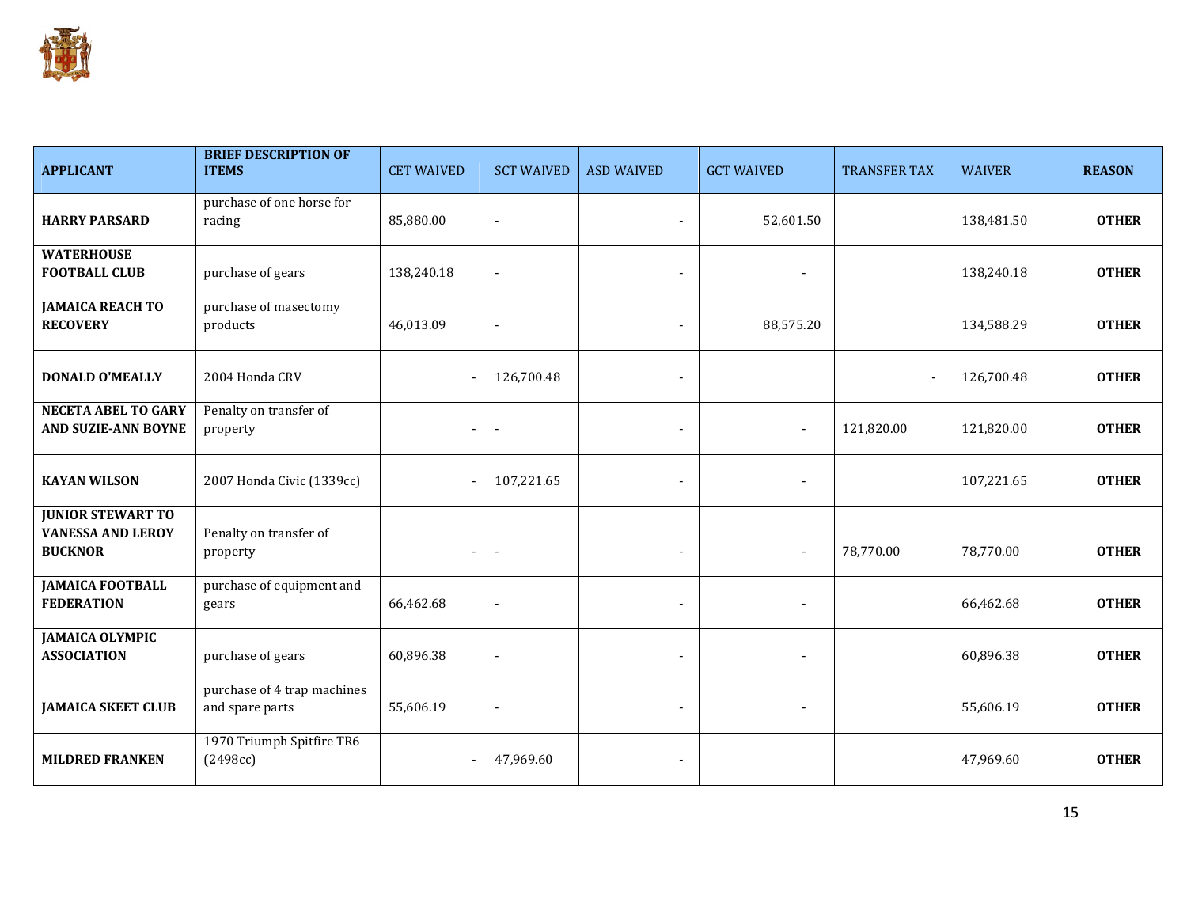

| <b>APPLICANT</b>                                                       | <b>BRIEF DESCRIPTION OF</b><br><b>ITEMS</b>    | <b>CET WAIVED</b> | <b>SCT WAIVED</b>        | <b>ASD WAIVED</b>        | <b>GCT WAIVED</b>        | <b>TRANSFER TAX</b> | <b>WAIVER</b> | <b>REASON</b> |
|------------------------------------------------------------------------|------------------------------------------------|-------------------|--------------------------|--------------------------|--------------------------|---------------------|---------------|---------------|
| <b>HARRY PARSARD</b>                                                   | purchase of one horse for<br>racing            | 85,880.00         |                          | $\blacksquare$           | 52,601.50                |                     | 138,481.50    | <b>OTHER</b>  |
| <b>WATERHOUSE</b><br><b>FOOTBALL CLUB</b>                              | purchase of gears                              | 138,240.18        |                          |                          |                          |                     | 138,240.18    | <b>OTHER</b>  |
| <b>JAMAICA REACH TO</b><br><b>RECOVERY</b>                             | purchase of masectomy<br>products              | 46,013.09         |                          |                          | 88,575.20                |                     | 134,588.29    | <b>OTHER</b>  |
| <b>DONALD O'MEALLY</b>                                                 | 2004 Honda CRV                                 |                   | 126,700.48               |                          |                          |                     | 126,700.48    | <b>OTHER</b>  |
| <b>NECETA ABEL TO GARY</b><br>AND SUZIE-ANN BOYNE                      | Penalty on transfer of<br>property             |                   |                          |                          | $\blacksquare$           | 121,820.00          | 121,820.00    | <b>OTHER</b>  |
| <b>KAYAN WILSON</b>                                                    | 2007 Honda Civic (1339cc)                      |                   | 107,221.65               |                          | $\sim$                   |                     | 107,221.65    | <b>OTHER</b>  |
| <b>JUNIOR STEWART TO</b><br><b>VANESSA AND LEROY</b><br><b>BUCKNOR</b> | Penalty on transfer of<br>property             | $\blacksquare$    | $\overline{\phantom{a}}$ |                          | $\overline{\phantom{a}}$ | 78,770.00           | 78,770.00     | <b>OTHER</b>  |
| <b>JAMAICA FOOTBALL</b><br><b>FEDERATION</b>                           | purchase of equipment and<br>gears             | 66,462.68         |                          | $\blacksquare$           | $\blacksquare$           |                     | 66,462.68     | <b>OTHER</b>  |
| <b>JAMAICA OLYMPIC</b><br><b>ASSOCIATION</b>                           | purchase of gears                              | 60,896.38         |                          |                          | $\blacksquare$           |                     | 60,896.38     | <b>OTHER</b>  |
| <b>JAMAICA SKEET CLUB</b>                                              | purchase of 4 trap machines<br>and spare parts | 55,606.19         |                          | $\overline{\phantom{a}}$ | $\overline{\phantom{a}}$ |                     | 55,606.19     | <b>OTHER</b>  |
| <b>MILDRED FRANKEN</b>                                                 | 1970 Triumph Spitfire TR6<br>(2498cc)          |                   | 47,969.60                |                          |                          |                     | 47,969.60     | <b>OTHER</b>  |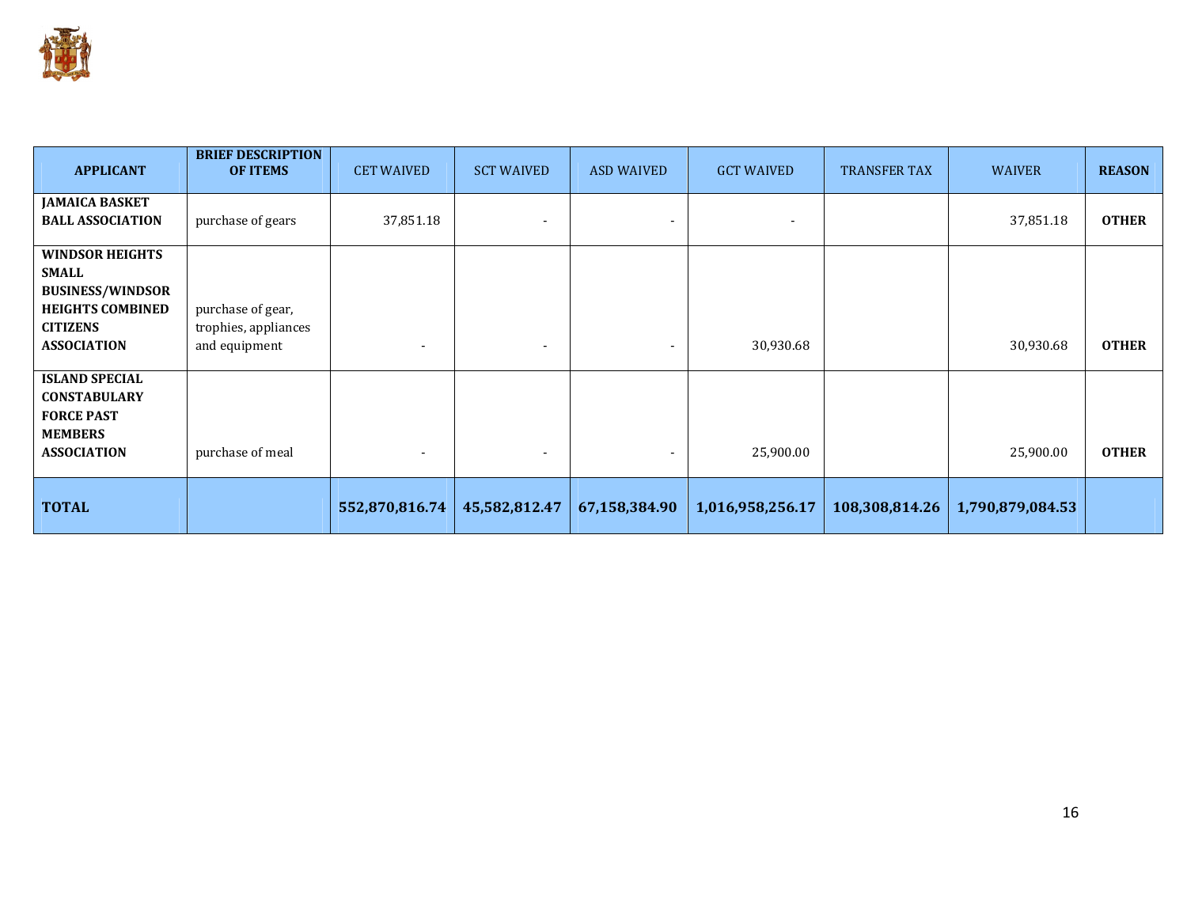

| <b>APPLICANT</b>                                                                                                                      | <b>BRIEF DESCRIPTION</b><br><b>OF ITEMS</b>                | <b>CET WAIVED</b>        | <b>SCT WAIVED</b> | <b>ASD WAIVED</b>        | <b>GCT WAIVED</b> | <b>TRANSFER TAX</b> | <b>WAIVER</b>    | <b>REASON</b> |
|---------------------------------------------------------------------------------------------------------------------------------------|------------------------------------------------------------|--------------------------|-------------------|--------------------------|-------------------|---------------------|------------------|---------------|
| <b>JAMAICA BASKET</b><br><b>BALL ASSOCIATION</b>                                                                                      | purchase of gears                                          | 37,851.18                |                   |                          |                   |                     | 37,851.18        | <b>OTHER</b>  |
| <b>WINDSOR HEIGHTS</b><br><b>SMALL</b><br><b>BUSINESS/WINDSOR</b><br><b>HEIGHTS COMBINED</b><br><b>CITIZENS</b><br><b>ASSOCIATION</b> | purchase of gear,<br>trophies, appliances<br>and equipment | $\overline{\phantom{a}}$ |                   | $\overline{\phantom{a}}$ | 30,930.68         |                     | 30,930.68        | <b>OTHER</b>  |
| <b>ISLAND SPECIAL</b><br><b>CONSTABULARY</b><br><b>FORCE PAST</b><br><b>MEMBERS</b><br><b>ASSOCIATION</b>                             | purchase of meal                                           |                          |                   | $\overline{\phantom{a}}$ | 25,900.00         |                     | 25,900.00        | <b>OTHER</b>  |
| <b>TOTAL</b>                                                                                                                          |                                                            | 552,870,816.74           | 45,582,812.47     | 67,158,384.90            | 1,016,958,256.17  | 108,308,814.26      | 1,790,879,084.53 |               |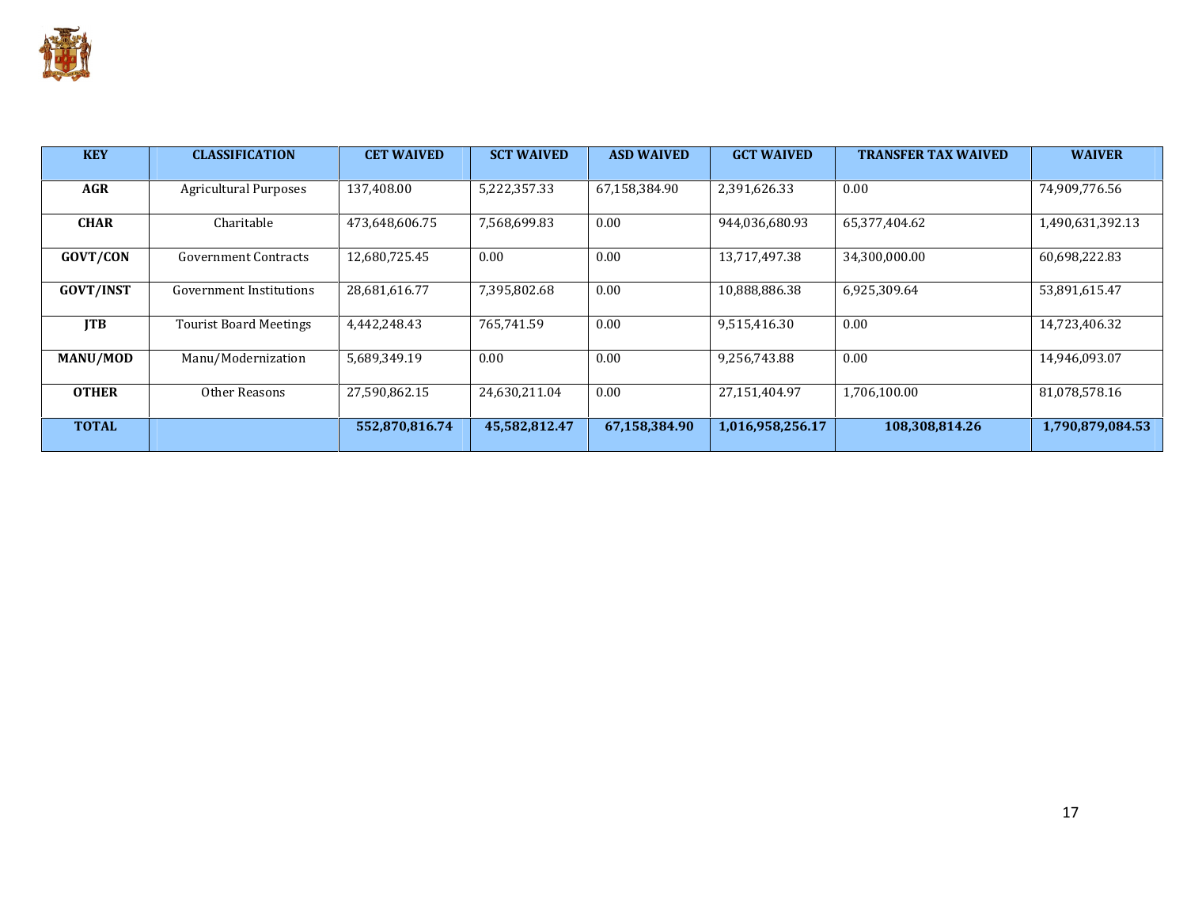

| <b>KEY</b>       | <b>CLASSIFICATION</b>         | <b>CET WAIVED</b> | <b>SCT WAIVED</b> | <b>ASD WAIVED</b> | <b>GCT WAIVED</b> | <b>TRANSFER TAX WAIVED</b> | <b>WAIVER</b>    |
|------------------|-------------------------------|-------------------|-------------------|-------------------|-------------------|----------------------------|------------------|
| <b>AGR</b>       | <b>Agricultural Purposes</b>  | 137.408.00        | 5,222,357.33      | 67,158,384.90     | 2,391,626.33      | 0.00                       | 74,909,776.56    |
| <b>CHAR</b>      | Charitable                    | 473,648,606.75    | 7,568,699.83      | 0.00              | 944,036,680.93    | 65,377,404.62              | 1,490,631,392.13 |
| <b>GOVT/CON</b>  | <b>Government Contracts</b>   | 12,680,725.45     | 0.00              | 0.00              | 13,717,497.38     | 34,300,000.00              | 60,698,222.83    |
| <b>GOVT/INST</b> | Government Institutions       | 28,681,616.77     | 7,395,802.68      | 0.00              | 10,888,886.38     | 6,925,309.64               | 53,891,615.47    |
| <b>ITB</b>       | <b>Tourist Board Meetings</b> | 4,442,248.43      | 765,741.59        | 0.00              | 9,515,416.30      | 0.00                       | 14,723,406.32    |
| MANU/MOD         | Manu/Modernization            | 5,689,349.19      | 0.00              | 0.00              | 9,256,743.88      | 0.00                       | 14,946,093.07    |
| <b>OTHER</b>     | Other Reasons                 | 27,590,862.15     | 24,630,211.04     | 0.00              | 27.151.404.97     | 1,706,100.00               | 81.078.578.16    |
| <b>TOTAL</b>     |                               | 552,870,816.74    | 45,582,812.47     | 67,158,384.90     | 1,016,958,256.17  | 108,308,814.26             | 1,790,879,084.53 |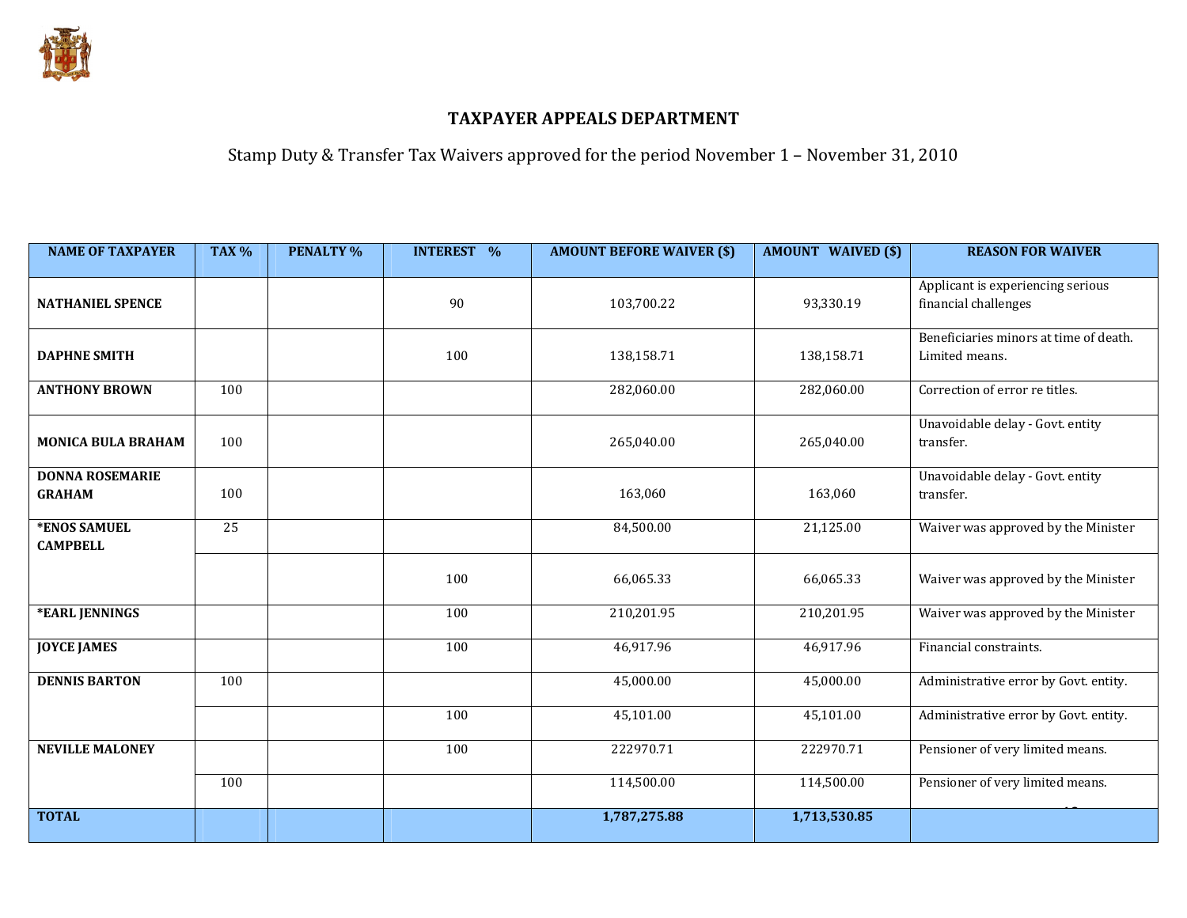

Stamp Duty & Transfer Tax Waivers approved for the period November 1 – November 31, 2010

| <b>NAME OF TAXPAYER</b>                 | <b>TAX %</b> | <b>PENALTY %</b> | <b>INTEREST %</b> | <b>AMOUNT BEFORE WAIVER (\$)</b> | <b>AMOUNT WAIVED (\$)</b> | <b>REASON FOR WAIVER</b>                                  |
|-----------------------------------------|--------------|------------------|-------------------|----------------------------------|---------------------------|-----------------------------------------------------------|
| <b>NATHANIEL SPENCE</b>                 |              |                  | 90                | 103,700.22                       | 93,330.19                 | Applicant is experiencing serious<br>financial challenges |
| <b>DAPHNE SMITH</b>                     |              |                  | 100               | 138,158.71                       | 138,158.71                | Beneficiaries minors at time of death.<br>Limited means.  |
| <b>ANTHONY BROWN</b>                    | 100          |                  |                   | 282,060.00                       | 282,060.00                | Correction of error re titles.                            |
| <b>MONICA BULA BRAHAM</b>               | 100          |                  |                   | 265,040.00                       | 265,040.00                | Unavoidable delay - Govt. entity<br>transfer.             |
| <b>DONNA ROSEMARIE</b><br><b>GRAHAM</b> | 100          |                  |                   | 163,060                          | 163,060                   | Unavoidable delay - Govt. entity<br>transfer.             |
| *ENOS SAMUEL<br><b>CAMPBELL</b>         | 25           |                  |                   | 84,500.00                        | 21,125.00                 | Waiver was approved by the Minister                       |
|                                         |              |                  | 100               | 66,065.33                        | 66,065.33                 | Waiver was approved by the Minister                       |
| *EARL JENNINGS                          |              |                  | 100               | 210,201.95                       | 210,201.95                | Waiver was approved by the Minister                       |
| <b>JOYCE JAMES</b>                      |              |                  | 100               | 46,917.96                        | 46,917.96                 | Financial constraints.                                    |
| <b>DENNIS BARTON</b>                    | 100          |                  |                   | 45,000.00                        | 45,000.00                 | Administrative error by Govt. entity.                     |
|                                         |              |                  | 100               | 45,101.00                        | 45,101.00                 | Administrative error by Govt. entity.                     |
| <b>NEVILLE MALONEY</b>                  |              |                  | 100               | 222970.71                        | 222970.71                 | Pensioner of very limited means.                          |
|                                         | 100          |                  |                   | 114,500.00                       | 114,500.00                | Pensioner of very limited means.                          |
| <b>TOTAL</b>                            |              |                  |                   | 1,787,275.88                     | 1,713,530.85              |                                                           |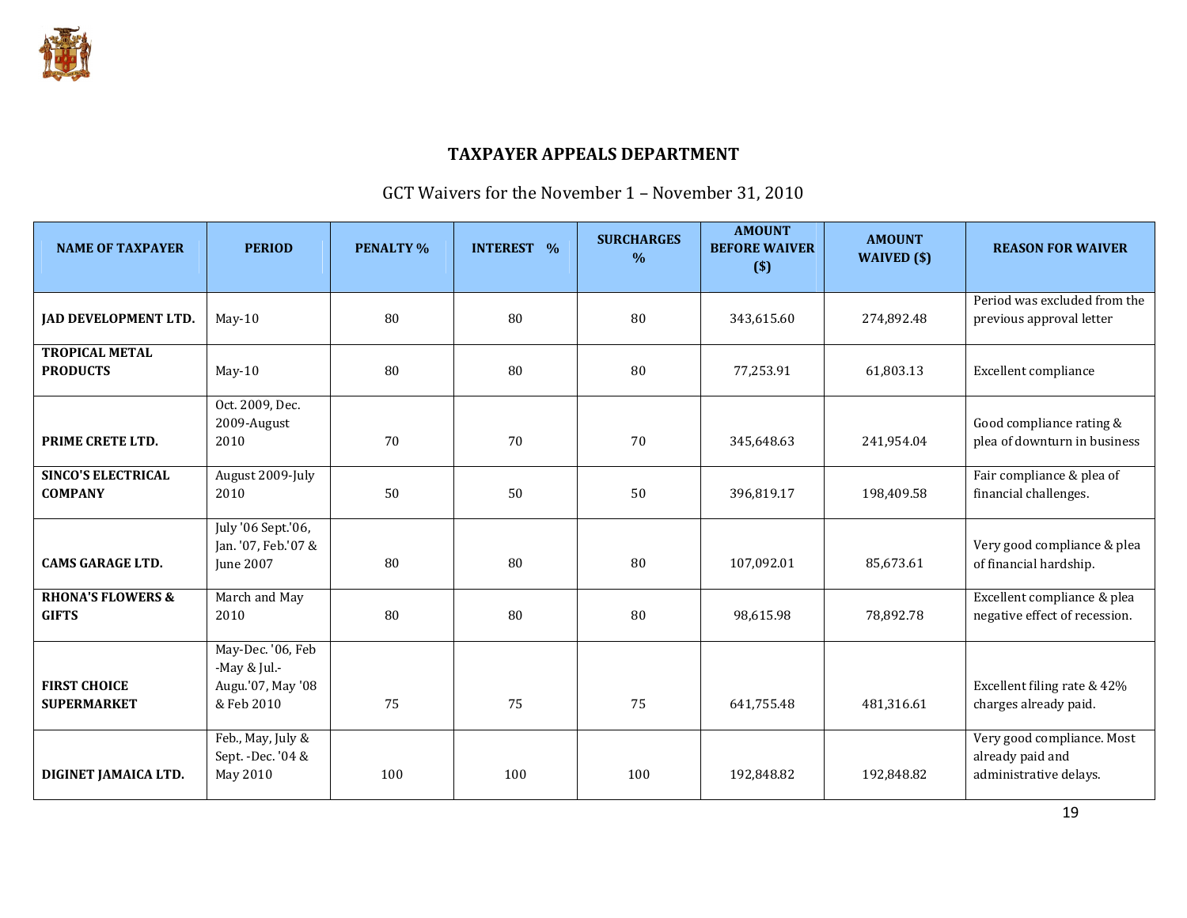

# GCT Waivers for the November 1 – November 31, 2010

| <b>NAME OF TAXPAYER</b>                      | <b>PERIOD</b>                                                        | <b>PENALTY %</b> | <b>INTEREST %</b> | <b>SURCHARGES</b><br>$\frac{0}{0}$ | <b>AMOUNT</b><br><b>BEFORE WAIVER</b><br>$(\$)$ | <b>AMOUNT</b><br>WAIVED $(\$)$ | <b>REASON FOR WAIVER</b>                                                 |
|----------------------------------------------|----------------------------------------------------------------------|------------------|-------------------|------------------------------------|-------------------------------------------------|--------------------------------|--------------------------------------------------------------------------|
| <b>JAD DEVELOPMENT LTD.</b>                  | $May-10$                                                             | 80               | 80                | 80                                 | 343,615.60                                      | 274,892.48                     | Period was excluded from the<br>previous approval letter                 |
| <b>TROPICAL METAL</b><br><b>PRODUCTS</b>     | $May-10$                                                             | 80               | 80                | 80                                 | 77,253.91                                       | 61,803.13                      | Excellent compliance                                                     |
| PRIME CRETE LTD.                             | Oct. 2009, Dec.<br>2009-August<br>2010                               | 70               | 70                | 70                                 | 345,648.63                                      | 241,954.04                     | Good compliance rating &<br>plea of downturn in business                 |
| <b>SINCO'S ELECTRICAL</b><br><b>COMPANY</b>  | August 2009-July<br>2010                                             | 50               | 50                | 50                                 | 396,819.17                                      | 198.409.58                     | Fair compliance & plea of<br>financial challenges.                       |
| <b>CAMS GARAGE LTD.</b>                      | July '06 Sept.'06,<br>Jan. '07, Feb.'07 &<br>June 2007               | 80               | 80                | 80                                 | 107,092.01                                      | 85,673.61                      | Very good compliance & plea<br>of financial hardship.                    |
| <b>RHONA'S FLOWERS &amp;</b><br><b>GIFTS</b> | March and May<br>2010                                                | 80               | 80                | 80                                 | 98,615.98                                       | 78,892.78                      | Excellent compliance & plea<br>negative effect of recession.             |
| <b>FIRST CHOICE</b><br><b>SUPERMARKET</b>    | May-Dec. '06, Feb<br>-May & Jul.-<br>Augu.'07, May '08<br>& Feb 2010 | 75               | 75                | 75                                 | 641,755.48                                      | 481,316.61                     | Excellent filing rate & 42%<br>charges already paid.                     |
| DIGINET JAMAICA LTD.                         | Feb., May, July &<br>Sept. - Dec. '04 &<br>May 2010                  | 100              | 100               | 100                                | 192,848.82                                      | 192,848.82                     | Very good compliance. Most<br>already paid and<br>administrative delays. |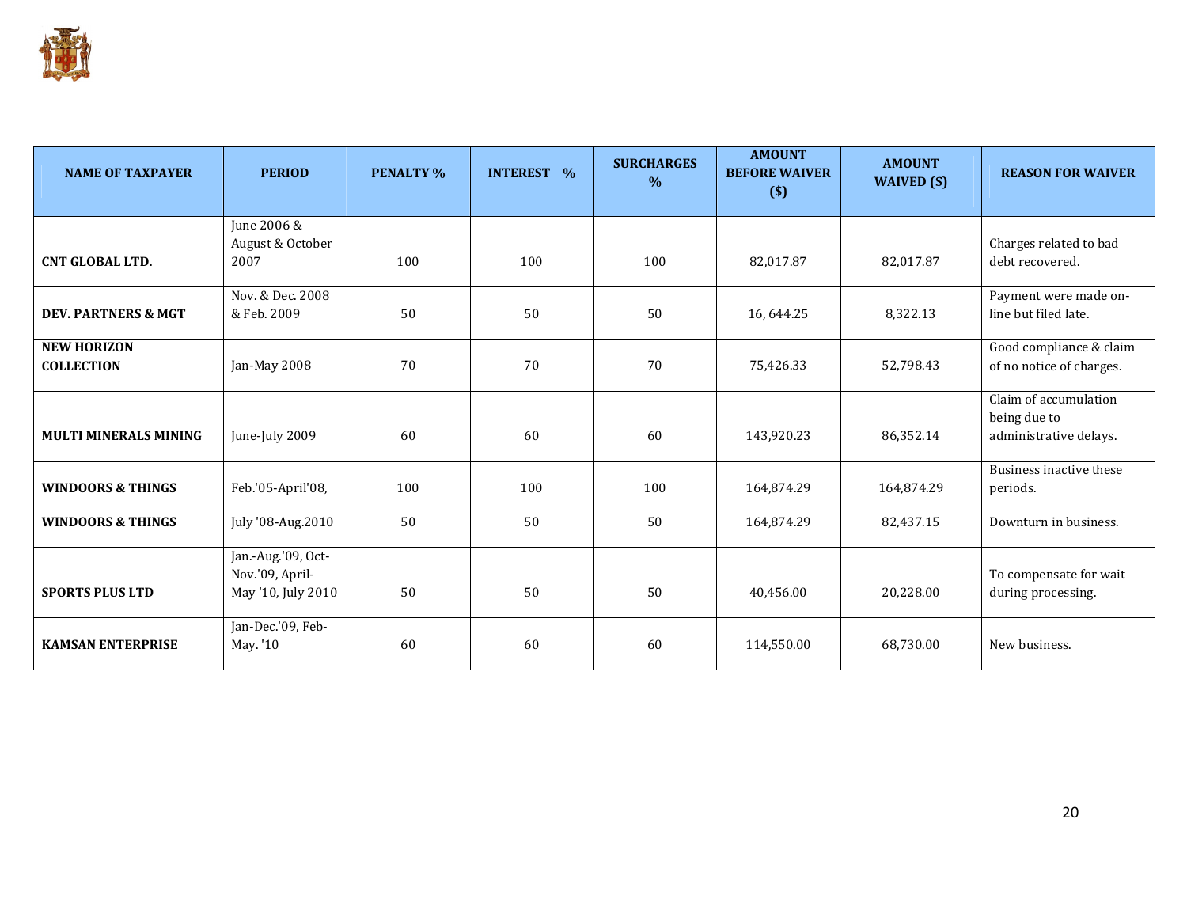

| <b>NAME OF TAXPAYER</b>        | <b>PERIOD</b>      | <b>PENALTY %</b> | <b>INTEREST %</b> | <b>SURCHARGES</b><br>$\%$ | <b>AMOUNT</b><br><b>BEFORE WAIVER</b><br>$($)$ | <b>AMOUNT</b><br>WAIVED (\$) | <b>REASON FOR WAIVER</b> |
|--------------------------------|--------------------|------------------|-------------------|---------------------------|------------------------------------------------|------------------------------|--------------------------|
|                                | June 2006 &        |                  |                   |                           |                                                |                              |                          |
|                                | August & October   |                  |                   |                           |                                                |                              | Charges related to bad   |
| <b>CNT GLOBAL LTD.</b>         | 2007               | 100              | 100               | 100                       | 82,017.87                                      | 82,017.87                    | debt recovered.          |
|                                | Nov. & Dec. 2008   |                  |                   |                           |                                                |                              | Payment were made on-    |
| <b>DEV. PARTNERS &amp; MGT</b> | & Feb. 2009        | 50               | 50                | 50                        | 16,644.25                                      | 8,322.13                     | line but filed late.     |
| <b>NEW HORIZON</b>             |                    |                  |                   |                           |                                                |                              | Good compliance & claim  |
| <b>COLLECTION</b>              | Jan-May 2008       | 70               | 70                | 70                        | 75,426.33                                      | 52,798.43                    | of no notice of charges. |
|                                |                    |                  |                   |                           |                                                |                              | Claim of accumulation    |
|                                |                    |                  |                   |                           |                                                |                              | being due to             |
| <b>MULTI MINERALS MINING</b>   | June-July 2009     | 60               | 60                | 60                        | 143,920.23                                     | 86,352.14                    | administrative delays.   |
|                                |                    |                  |                   |                           |                                                |                              | Business inactive these  |
| <b>WINDOORS &amp; THINGS</b>   | Feb.'05-April'08,  | 100              | 100               | 100                       | 164,874.29                                     | 164,874.29                   | periods.                 |
| <b>WINDOORS &amp; THINGS</b>   | July '08-Aug.2010  | 50               | 50                | 50                        | 164,874.29                                     | 82,437.15                    | Downturn in business.    |
|                                | Jan.-Aug.'09, Oct- |                  |                   |                           |                                                |                              |                          |
|                                | Nov.'09, April-    |                  |                   |                           |                                                |                              | To compensate for wait   |
| <b>SPORTS PLUS LTD</b>         | May '10, July 2010 | 50               | 50                | 50                        | 40,456.00                                      | 20,228.00                    | during processing.       |
|                                | Jan-Dec.'09, Feb-  |                  |                   |                           |                                                |                              |                          |
| <b>KAMSAN ENTERPRISE</b>       | May. '10           | 60               | 60                | 60                        | 114,550.00                                     | 68,730.00                    | New business.            |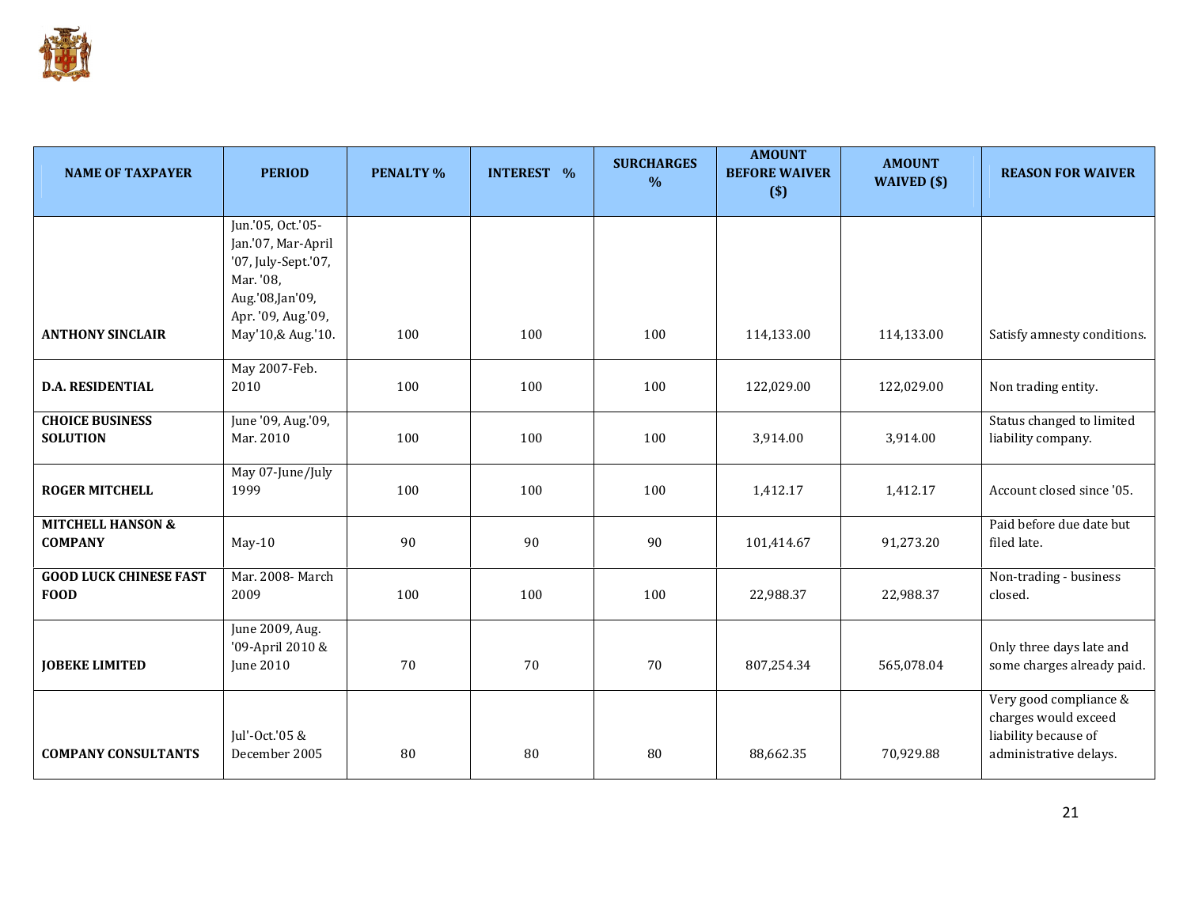

| <b>NAME OF TAXPAYER</b>       | <b>PERIOD</b>                           | <b>PENALTY %</b> | <b>INTEREST %</b> | <b>SURCHARGES</b><br>$\frac{0}{0}$ | <b>AMOUNT</b><br><b>BEFORE WAIVER</b><br>$($)$ | <b>AMOUNT</b><br>WAIVED (\$) | <b>REASON FOR WAIVER</b>    |
|-------------------------------|-----------------------------------------|------------------|-------------------|------------------------------------|------------------------------------------------|------------------------------|-----------------------------|
|                               |                                         |                  |                   |                                    |                                                |                              |                             |
|                               | Jun.'05, Oct.'05-                       |                  |                   |                                    |                                                |                              |                             |
|                               | Jan.'07, Mar-April                      |                  |                   |                                    |                                                |                              |                             |
|                               | '07, July-Sept.'07,                     |                  |                   |                                    |                                                |                              |                             |
|                               | Mar. '08,                               |                  |                   |                                    |                                                |                              |                             |
|                               | Aug.'08,Jan'09,                         |                  |                   |                                    |                                                |                              |                             |
| <b>ANTHONY SINCLAIR</b>       | Apr. '09, Aug.'09,<br>May'10,& Aug.'10. | 100              | 100               | 100                                | 114,133.00                                     | 114,133.00                   | Satisfy amnesty conditions. |
|                               |                                         |                  |                   |                                    |                                                |                              |                             |
|                               | May 2007-Feb.                           |                  |                   |                                    |                                                |                              |                             |
| <b>D.A. RESIDENTIAL</b>       | 2010                                    | 100              | 100               | 100                                | 122,029.00                                     | 122,029.00                   | Non trading entity.         |
|                               |                                         |                  |                   |                                    |                                                |                              |                             |
| <b>CHOICE BUSINESS</b>        | June '09, Aug.'09,                      |                  |                   |                                    |                                                |                              | Status changed to limited   |
| <b>SOLUTION</b>               | Mar. 2010                               | 100              | 100               | 100                                | 3,914.00                                       | 3,914.00                     | liability company.          |
|                               | May 07-June/July                        |                  |                   |                                    |                                                |                              |                             |
| <b>ROGER MITCHELL</b>         | 1999                                    | 100              | 100               | 100                                | 1,412.17                                       | 1,412.17                     | Account closed since '05.   |
|                               |                                         |                  |                   |                                    |                                                |                              |                             |
| <b>MITCHELL HANSON &amp;</b>  |                                         |                  |                   |                                    |                                                |                              | Paid before due date but    |
| <b>COMPANY</b>                | $May-10$                                | 90               | 90                | 90                                 | 101,414.67                                     | 91,273.20                    | filed late.                 |
|                               |                                         |                  |                   |                                    |                                                |                              |                             |
| <b>GOOD LUCK CHINESE FAST</b> | Mar. 2008-March                         |                  |                   |                                    |                                                |                              | Non-trading - business      |
| <b>FOOD</b>                   | 2009                                    | 100              | 100               | 100                                | 22,988.37                                      | 22,988.37                    | closed.                     |
|                               | June 2009, Aug.                         |                  |                   |                                    |                                                |                              |                             |
|                               | '09-April 2010 &                        |                  |                   |                                    |                                                |                              | Only three days late and    |
| <b>JOBEKE LIMITED</b>         | June 2010                               | 70               | 70                | 70                                 | 807,254.34                                     | 565,078.04                   | some charges already paid.  |
|                               |                                         |                  |                   |                                    |                                                |                              |                             |
|                               |                                         |                  |                   |                                    |                                                |                              | Very good compliance &      |
|                               |                                         |                  |                   |                                    |                                                |                              | charges would exceed        |
|                               | Jul'-Oct.'05 &                          |                  |                   |                                    |                                                |                              | liability because of        |
| <b>COMPANY CONSULTANTS</b>    | December 2005                           | 80               | 80                | 80                                 | 88,662.35                                      | 70,929.88                    | administrative delays.      |
|                               |                                         |                  |                   |                                    |                                                |                              |                             |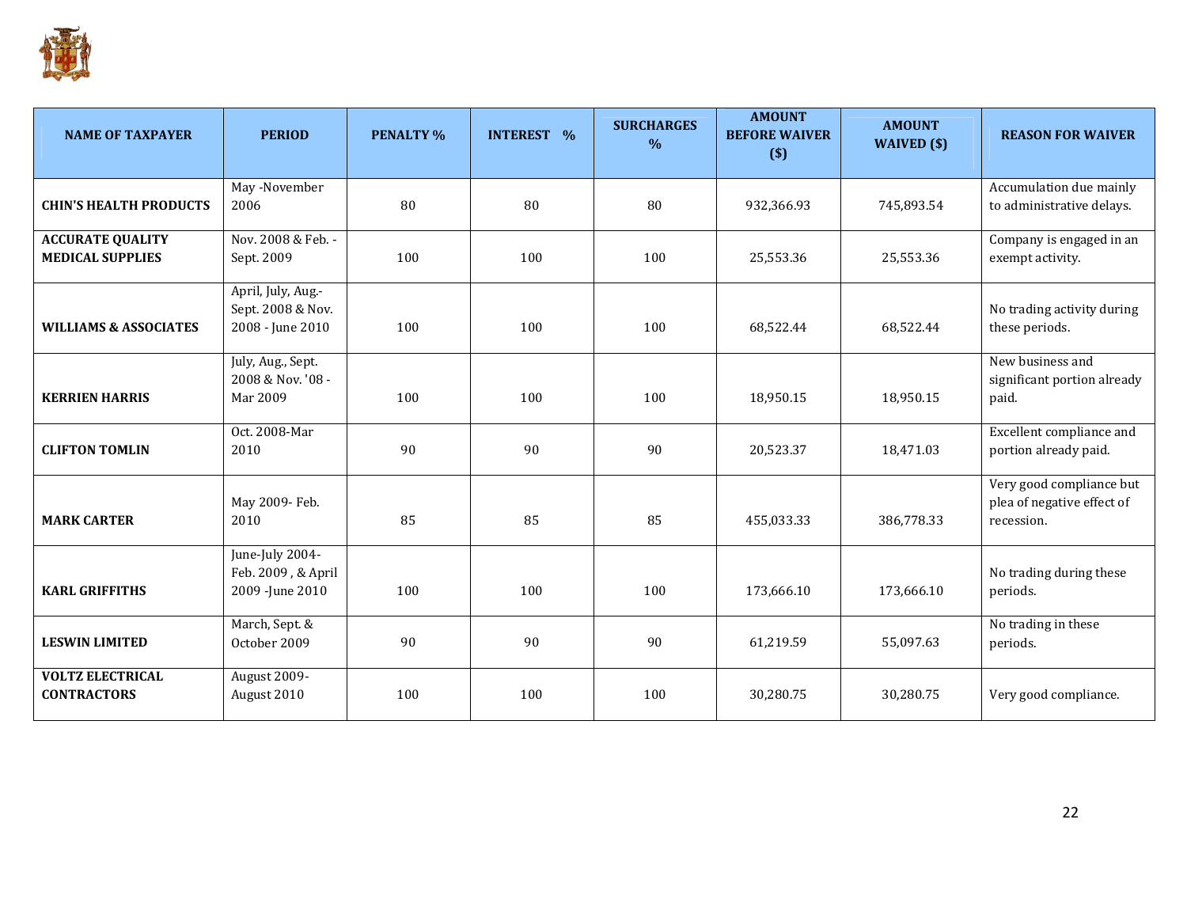

| <b>NAME OF TAXPAYER</b>                            | <b>PERIOD</b>                                               | <b>PENALTY %</b> | <b>INTEREST %</b> | <b>SURCHARGES</b><br>$\frac{0}{0}$ | <b>AMOUNT</b><br><b>BEFORE WAIVER</b><br>$($)$ | <b>AMOUNT</b><br>WAIVED (\$) | <b>REASON FOR WAIVER</b>                                             |
|----------------------------------------------------|-------------------------------------------------------------|------------------|-------------------|------------------------------------|------------------------------------------------|------------------------------|----------------------------------------------------------------------|
| <b>CHIN'S HEALTH PRODUCTS</b>                      | May -November<br>2006                                       | 80               | 80                | 80                                 | 932,366.93                                     | 745,893.54                   | Accumulation due mainly<br>to administrative delays.                 |
| <b>ACCURATE QUALITY</b><br><b>MEDICAL SUPPLIES</b> | Nov. 2008 & Feb. -<br>Sept. 2009                            | 100              | 100               | 100                                | 25,553.36                                      | 25,553.36                    | Company is engaged in an<br>exempt activity.                         |
| <b>WILLIAMS &amp; ASSOCIATES</b>                   | April, July, Aug.-<br>Sept. 2008 & Nov.<br>2008 - June 2010 | 100              | 100               | 100                                | 68,522.44                                      | 68,522.44                    | No trading activity during<br>these periods.                         |
| <b>KERRIEN HARRIS</b>                              | July, Aug., Sept.<br>2008 & Nov. '08 -<br>Mar 2009          | 100              | 100               | 100                                | 18,950.15                                      | 18,950.15                    | New business and<br>significant portion already<br>paid.             |
| <b>CLIFTON TOMLIN</b>                              | Oct. 2008-Mar<br>2010                                       | 90               | 90                | 90                                 | 20,523.37                                      | 18,471.03                    | Excellent compliance and<br>portion already paid.                    |
| <b>MARK CARTER</b>                                 | May 2009- Feb.<br>2010                                      | 85               | 85                | 85                                 | 455,033.33                                     | 386,778.33                   | Very good compliance but<br>plea of negative effect of<br>recession. |
| <b>KARL GRIFFITHS</b>                              | June-July 2004-<br>Feb. 2009, & April<br>2009 - June 2010   | 100              | 100               | 100                                | 173,666.10                                     | 173,666.10                   | No trading during these<br>periods.                                  |
| <b>LESWIN LIMITED</b>                              | March, Sept. &<br>October 2009                              | 90               | 90                | 90                                 | 61,219.59                                      | 55,097.63                    | No trading in these<br>periods.                                      |
| <b>VOLTZ ELECTRICAL</b><br><b>CONTRACTORS</b>      | August 2009-<br>August 2010                                 | 100              | 100               | 100                                | 30,280.75                                      | 30,280.75                    | Very good compliance.                                                |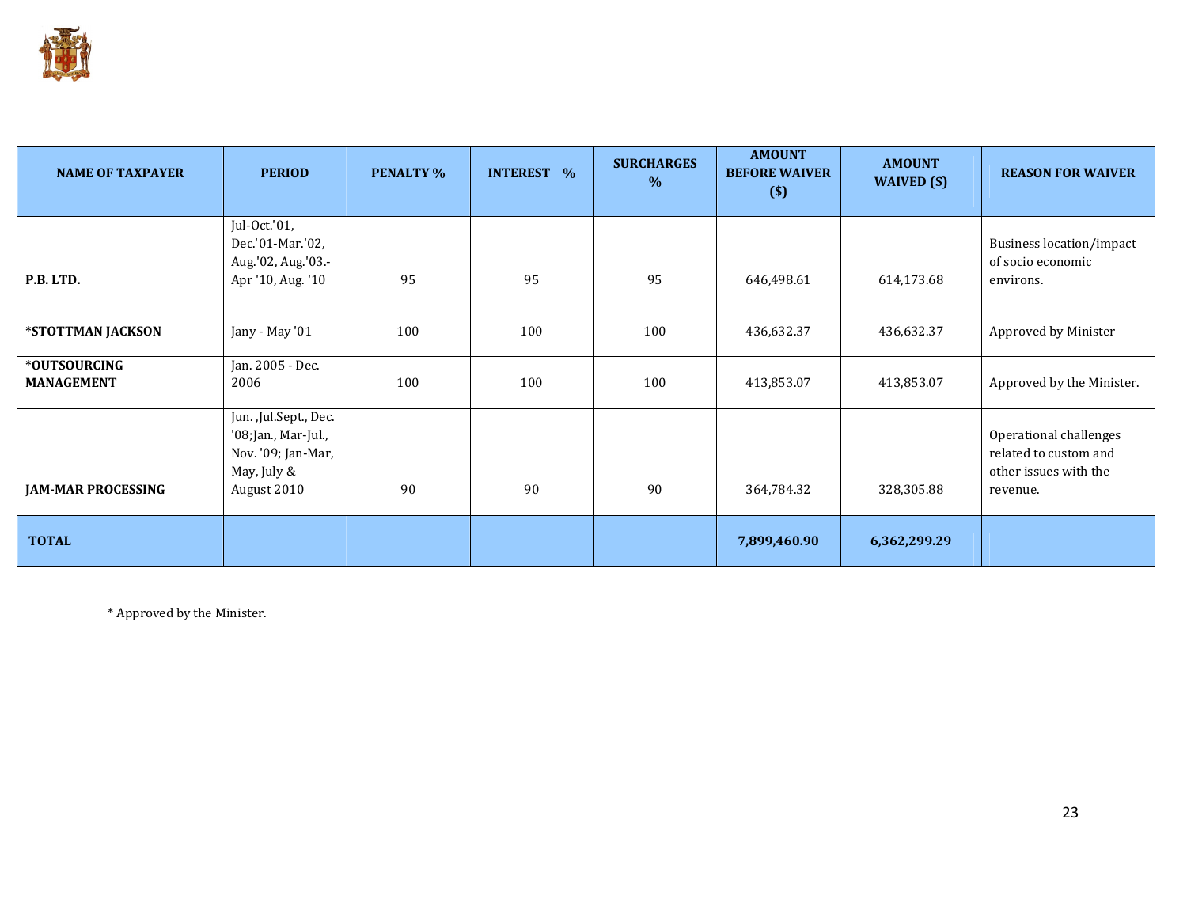

| <b>NAME OF TAXPAYER</b>           | <b>PERIOD</b>                                                                                    | <b>PENALTY %</b> | <b>INTEREST %</b> | <b>SURCHARGES</b><br>$\%$ | <b>AMOUNT</b><br><b>BEFORE WAIVER</b><br>$($)$ | <b>AMOUNT</b><br>WAIVED $(\$)$ | <b>REASON FOR WAIVER</b>                                                             |
|-----------------------------------|--------------------------------------------------------------------------------------------------|------------------|-------------------|---------------------------|------------------------------------------------|--------------------------------|--------------------------------------------------------------------------------------|
| P.B. LTD.                         | Jul-Oct.'01,<br>Dec.'01-Mar.'02,<br>Aug.'02, Aug.'03 .-<br>Apr '10, Aug. '10                     | 95               | 95                | 95                        | 646,498.61                                     | 614,173.68                     | <b>Business location/impact</b><br>of socio economic<br>environs.                    |
| *STOTTMAN JACKSON                 | Jany - May '01                                                                                   | 100              | 100               | 100                       | 436,632.37                                     | 436,632.37                     | Approved by Minister                                                                 |
| *OUTSOURCING<br><b>MANAGEMENT</b> | Jan. 2005 - Dec.<br>2006                                                                         | 100              | 100               | 100                       | 413,853.07                                     | 413,853.07                     | Approved by the Minister.                                                            |
| <b>JAM-MAR PROCESSING</b>         | Jun. ,Jul.Sept., Dec.<br>'08;Jan., Mar-Jul.,<br>Nov. '09; Jan-Mar,<br>May, July &<br>August 2010 | 90               | 90                | 90                        | 364,784.32                                     | 328,305.88                     | Operational challenges<br>related to custom and<br>other issues with the<br>revenue. |
| <b>TOTAL</b>                      |                                                                                                  |                  |                   |                           | 7,899,460.90                                   | 6,362,299.29                   |                                                                                      |

\* Approved by the Minister.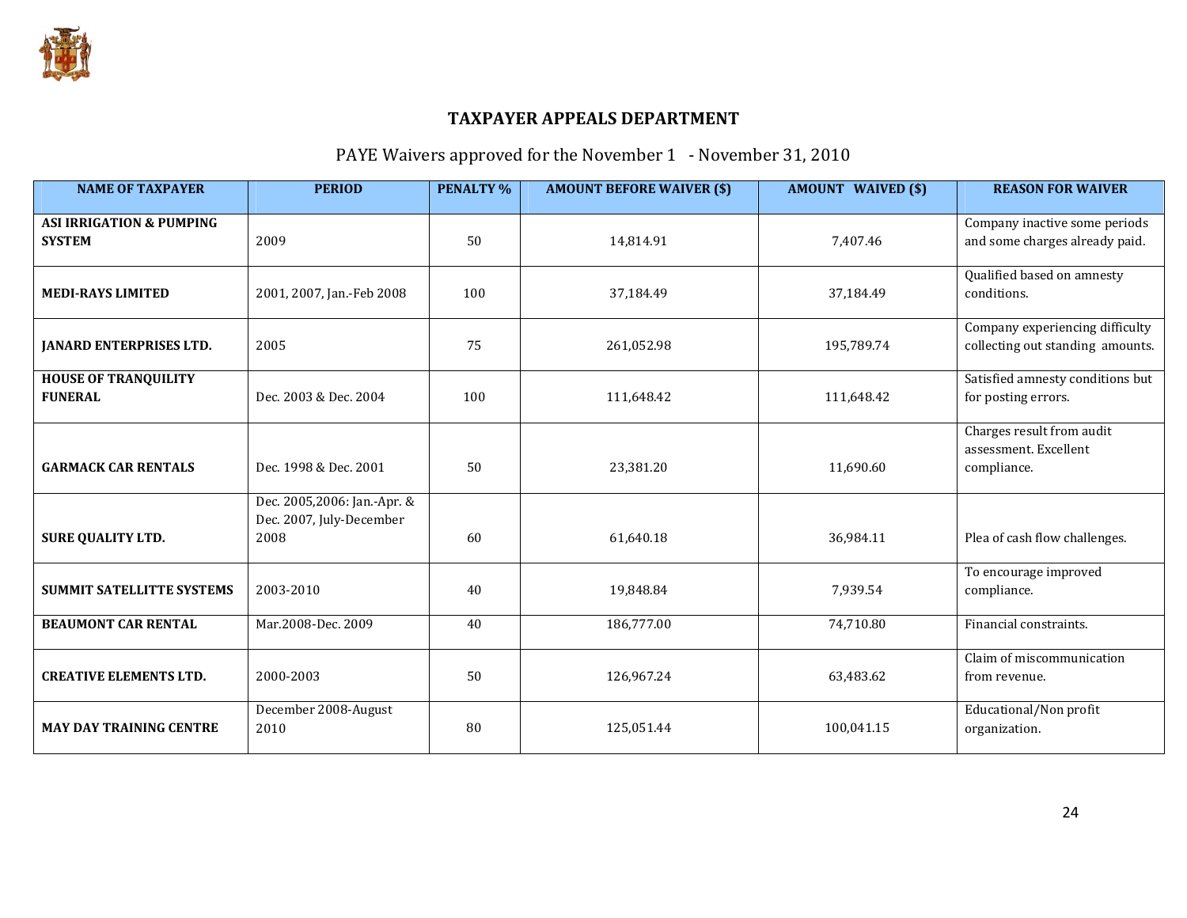

# PAYE Waivers approved for the November 1 - November 31, 2010

| <b>NAME OF TAXPAYER</b>                              | <b>PERIOD</b>                                                   | <b>PENALTY %</b> | <b>AMOUNT BEFORE WAIVER (\$)</b> | <b>AMOUNT WAIVED (\$)</b> | <b>REASON FOR WAIVER</b>                                            |
|------------------------------------------------------|-----------------------------------------------------------------|------------------|----------------------------------|---------------------------|---------------------------------------------------------------------|
| <b>ASI IRRIGATION &amp; PUMPING</b><br><b>SYSTEM</b> | 2009                                                            | 50               | 14,814.91                        | 7,407.46                  | Company inactive some periods<br>and some charges already paid.     |
| <b>MEDI-RAYS LIMITED</b>                             | 2001, 2007, Jan.-Feb 2008                                       | 100              | 37,184.49                        | 37,184.49                 | Qualified based on amnesty<br>conditions.                           |
| <b>JANARD ENTERPRISES LTD.</b>                       | 2005                                                            | 75               | 261,052.98                       | 195,789.74                | Company experiencing difficulty<br>collecting out standing amounts. |
| <b>HOUSE OF TRANQUILITY</b><br><b>FUNERAL</b>        | Dec. 2003 & Dec. 2004                                           | 100              | 111,648.42                       | 111,648.42                | Satisfied amnesty conditions but<br>for posting errors.             |
| <b>GARMACK CAR RENTALS</b>                           | Dec. 1998 & Dec. 2001                                           | 50               | 23,381.20                        | 11,690.60                 | Charges result from audit<br>assessment. Excellent<br>compliance.   |
| <b>SURE QUALITY LTD.</b>                             | Dec. 2005,2006: Jan.-Apr. &<br>Dec. 2007, July-December<br>2008 | 60               | 61,640.18                        | 36,984.11                 | Plea of cash flow challenges.                                       |
| <b>SUMMIT SATELLITTE SYSTEMS</b>                     | 2003-2010                                                       | 40               | 19,848.84                        | 7,939.54                  | To encourage improved<br>compliance.                                |
| <b>BEAUMONT CAR RENTAL</b>                           | Mar.2008-Dec. 2009                                              | 40               | 186,777.00                       | 74,710.80                 | Financial constraints.                                              |
| <b>CREATIVE ELEMENTS LTD.</b>                        | 2000-2003                                                       | 50               | 126,967.24                       | 63,483.62                 | Claim of miscommunication<br>from revenue.                          |
| <b>MAY DAY TRAINING CENTRE</b>                       | December 2008-August<br>2010                                    | 80               | 125,051.44                       | 100,041.15                | Educational/Non profit<br>organization.                             |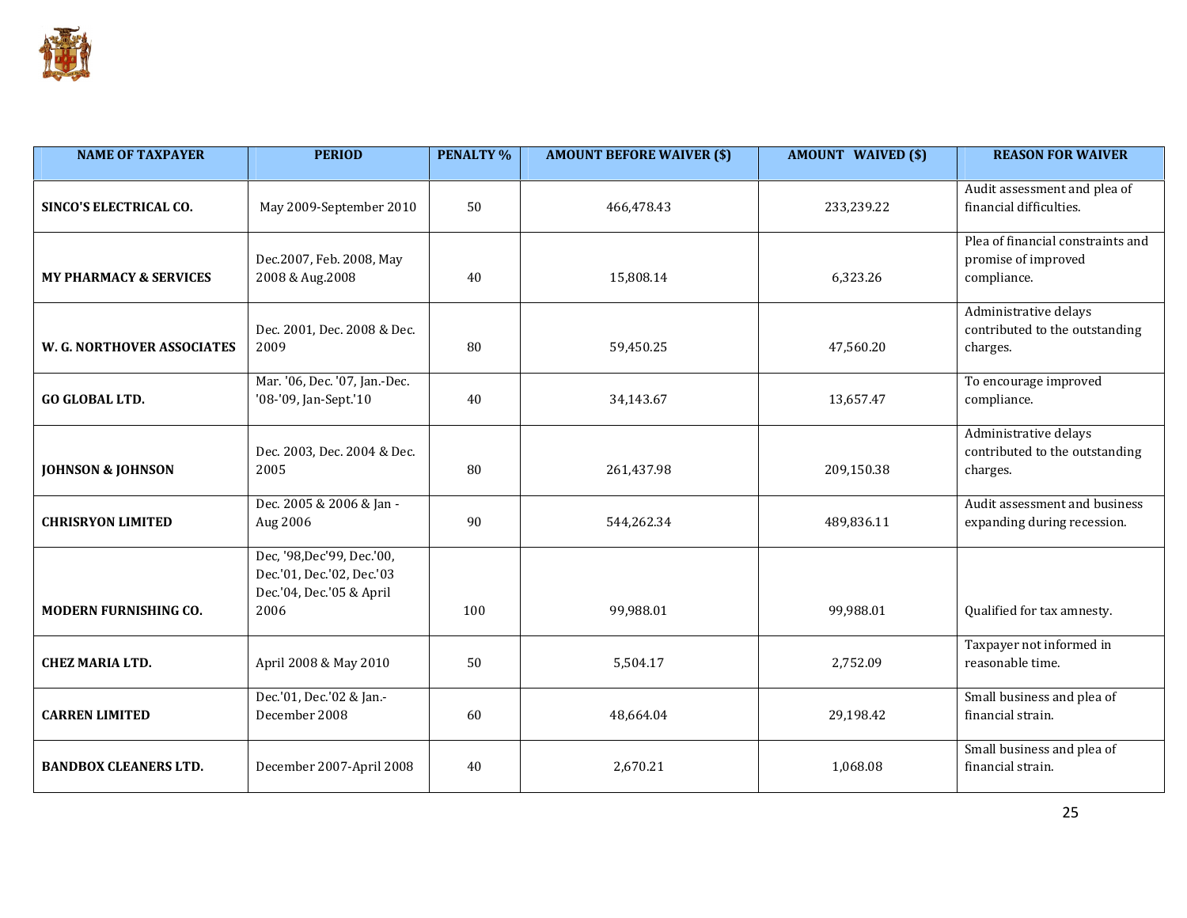

| <b>NAME OF TAXPAYER</b>           | <b>PERIOD</b>                                                                                 | <b>PENALTY %</b> | <b>AMOUNT BEFORE WAIVER (\$)</b> | <b>AMOUNT WAIVED (\$)</b> | <b>REASON FOR WAIVER</b>                                                |
|-----------------------------------|-----------------------------------------------------------------------------------------------|------------------|----------------------------------|---------------------------|-------------------------------------------------------------------------|
| SINCO'S ELECTRICAL CO.            | May 2009-September 2010                                                                       | 50               | 466,478.43<br>233,239.22         |                           | Audit assessment and plea of<br>financial difficulties.                 |
| <b>MY PHARMACY &amp; SERVICES</b> | Dec.2007, Feb. 2008, May<br>2008 & Aug.2008                                                   |                  | 15,808.14                        | 6,323.26                  | Plea of financial constraints and<br>promise of improved<br>compliance. |
| W. G. NORTHOVER ASSOCIATES        | Dec. 2001, Dec. 2008 & Dec.<br>2009                                                           | 80               | 59,450.25                        | 47,560.20                 | Administrative delays<br>contributed to the outstanding<br>charges.     |
| <b>GO GLOBAL LTD.</b>             | Mar. '06, Dec. '07, Jan.-Dec.<br>'08-'09, Jan-Sept.'10                                        | 40               | 34,143.67                        | 13,657.47                 | To encourage improved<br>compliance.                                    |
| <b>JOHNSON &amp; JOHNSON</b>      | Dec. 2003, Dec. 2004 & Dec.<br>2005                                                           | 80               | 261,437.98                       | 209,150.38                | Administrative delays<br>contributed to the outstanding<br>charges.     |
| <b>CHRISRYON LIMITED</b>          | Dec. 2005 & 2006 & Jan -<br>Aug 2006                                                          | 90               | 544,262.34                       | 489,836.11                | Audit assessment and business<br>expanding during recession.            |
| MODERN FURNISHING CO.             | Dec, '98, Dec' 99, Dec.' 00,<br>Dec.'01, Dec.'02, Dec.'03<br>Dec.'04, Dec.'05 & April<br>2006 | 100              | 99,988.01                        | 99,988.01                 | Qualified for tax amnesty.                                              |
| <b>CHEZ MARIA LTD.</b>            | April 2008 & May 2010                                                                         | 50               | 5,504.17                         | 2,752.09                  | Taxpayer not informed in<br>reasonable time.                            |
| <b>CARREN LIMITED</b>             | Dec.'01, Dec.'02 & Jan.-<br>December 2008                                                     | 60               | 48,664.04                        | 29,198.42                 | Small business and plea of<br>financial strain.                         |
| <b>BANDBOX CLEANERS LTD.</b>      | December 2007-April 2008                                                                      | 40               | 2,670.21                         | 1.068.08                  | Small business and plea of<br>financial strain.                         |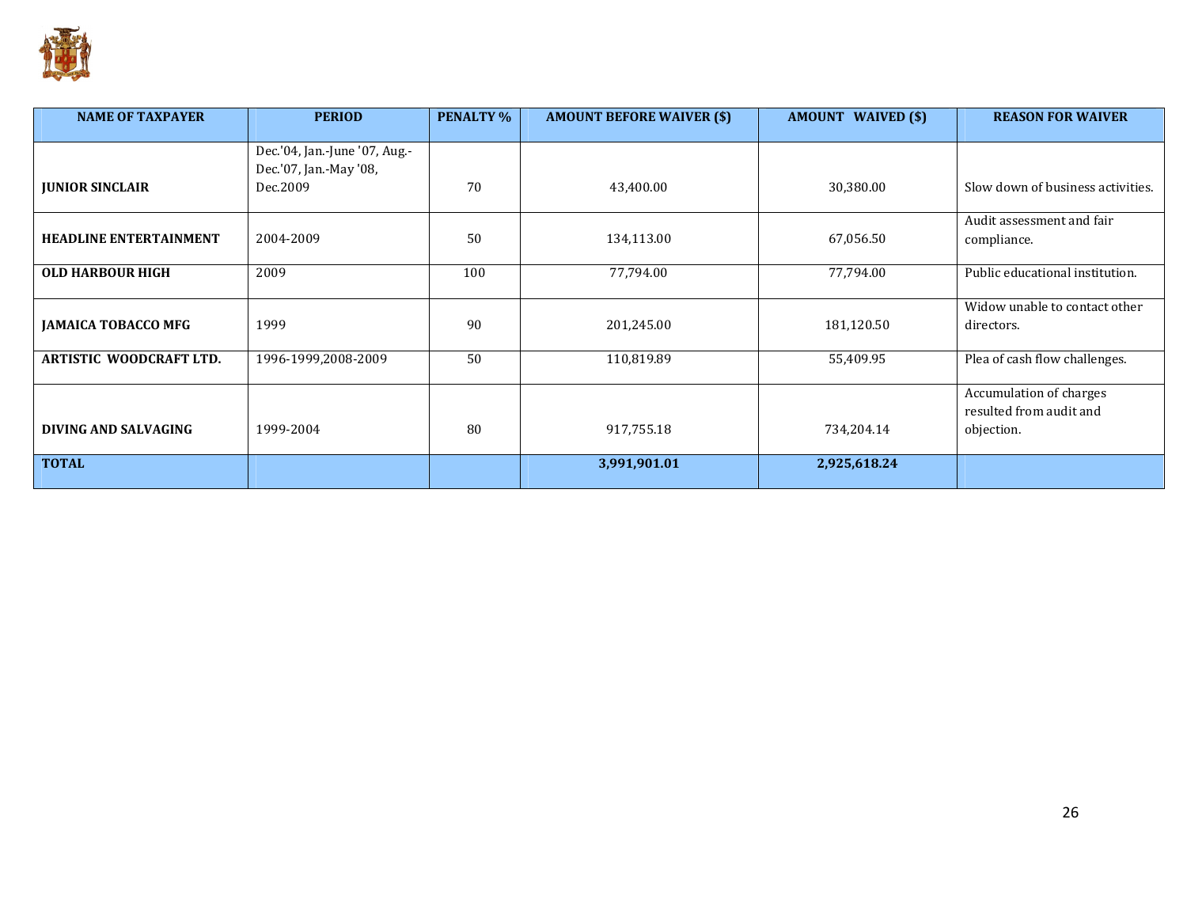

| <b>NAME OF TAXPAYER</b>        | <b>PERIOD</b>                 | <b>PENALTY %</b> | <b>AMOUNT BEFORE WAIVER (\$)</b> | <b>AMOUNT WAIVED (\$)</b> | <b>REASON FOR WAIVER</b>          |
|--------------------------------|-------------------------------|------------------|----------------------------------|---------------------------|-----------------------------------|
|                                |                               |                  |                                  |                           |                                   |
|                                | Dec.'04, Jan.-June '07, Aug.- |                  |                                  |                           |                                   |
|                                | Dec.'07, Jan.-May '08,        |                  |                                  |                           |                                   |
| <b>JUNIOR SINCLAIR</b>         | Dec.2009                      | 70               | 43,400.00                        | 30,380.00                 | Slow down of business activities. |
|                                |                               |                  |                                  |                           | Audit assessment and fair         |
| <b>HEADLINE ENTERTAINMENT</b>  | 2004-2009                     | 50               | 134,113.00                       | 67,056.50                 | compliance.                       |
|                                |                               |                  |                                  |                           |                                   |
| <b>OLD HARBOUR HIGH</b>        | 2009                          | 100              | 77,794.00                        | 77,794.00                 | Public educational institution.   |
|                                |                               |                  |                                  |                           |                                   |
|                                |                               |                  |                                  |                           | Widow unable to contact other     |
| <b>JAMAICA TOBACCO MFG</b>     | 1999                          | 90               | 201,245.00                       | 181,120.50                | directors.                        |
|                                |                               |                  |                                  |                           |                                   |
| <b>ARTISTIC WOODCRAFT LTD.</b> | 1996-1999,2008-2009           | 50               | 110,819.89                       | 55,409.95                 | Plea of cash flow challenges.     |
|                                |                               |                  |                                  |                           |                                   |
|                                |                               |                  |                                  |                           | Accumulation of charges           |
|                                |                               |                  |                                  |                           | resulted from audit and           |
| DIVING AND SALVAGING           | 1999-2004                     | 80               | 917,755.18                       | 734,204.14                | objection.                        |
| <b>TOTAL</b>                   |                               |                  | 3,991,901.01                     | 2,925,618.24              |                                   |
|                                |                               |                  |                                  |                           |                                   |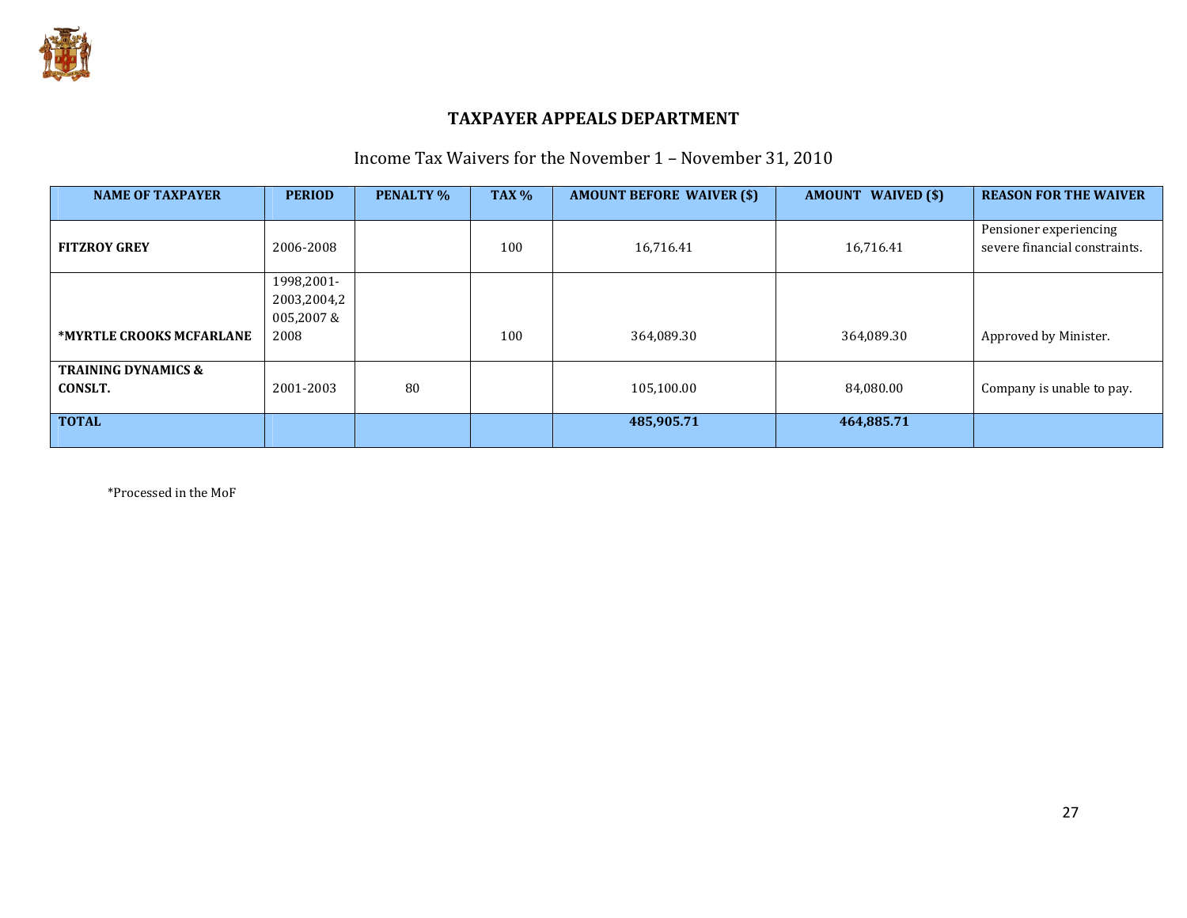

## Income Tax Waivers for the November 1 – November 31, 2010

| <b>NAME OF TAXPAYER</b>        | <b>PERIOD</b> | <b>PENALTY %</b> | <b>TAX %</b> | <b>AMOUNT BEFORE WAIVER (\$)</b> | <b>AMOUNT WAIVED (\$)</b> | <b>REASON FOR THE WAIVER</b>                            |
|--------------------------------|---------------|------------------|--------------|----------------------------------|---------------------------|---------------------------------------------------------|
|                                |               |                  |              |                                  |                           |                                                         |
| <b>FITZROY GREY</b>            | 2006-2008     |                  | 100          | 16,716.41                        | 16,716.41                 | Pensioner experiencing<br>severe financial constraints. |
|                                |               |                  |              |                                  |                           |                                                         |
|                                | 1998,2001-    |                  |              |                                  |                           |                                                         |
|                                | 2003,2004,2   |                  |              |                                  |                           |                                                         |
|                                | 005,2007&     |                  |              |                                  |                           |                                                         |
| *MYRTLE CROOKS MCFARLANE       | 2008          |                  | 100          | 364,089.30                       | 364,089.30                | Approved by Minister.                                   |
|                                |               |                  |              |                                  |                           |                                                         |
| <b>TRAINING DYNAMICS &amp;</b> |               |                  |              |                                  |                           |                                                         |
| CONSLT.                        | 2001-2003     | 80               |              | 105,100.00                       | 84,080.00                 | Company is unable to pay.                               |
|                                |               |                  |              |                                  |                           |                                                         |
| <b>TOTAL</b>                   |               |                  |              | 485,905.71                       | 464,885.71                |                                                         |
|                                |               |                  |              |                                  |                           |                                                         |

\*Processed in the MoF